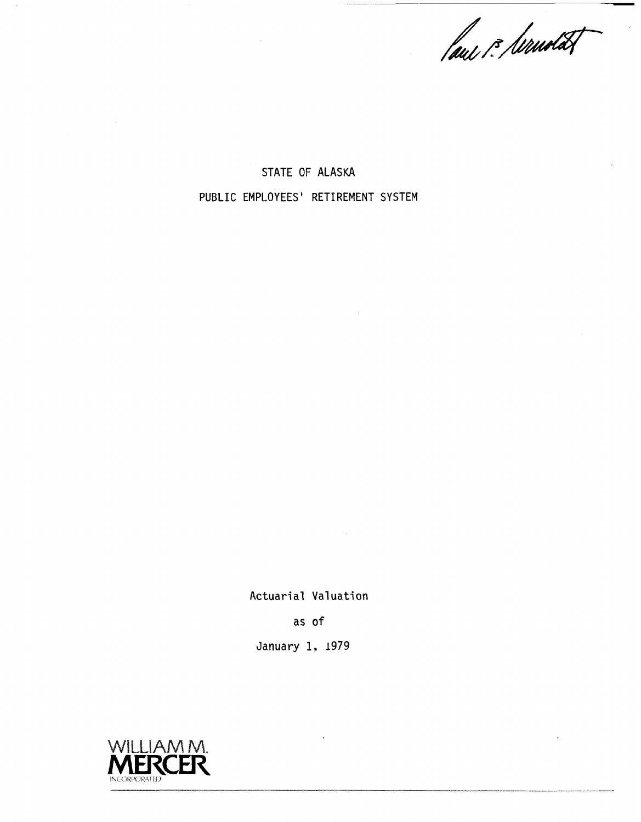faus i: Servedat

STATE OF ALASKA PUBLIC EMPLOYEES' RETIREMENT SYSTEM

Actuarial Valuation

as of

January 1, 1979

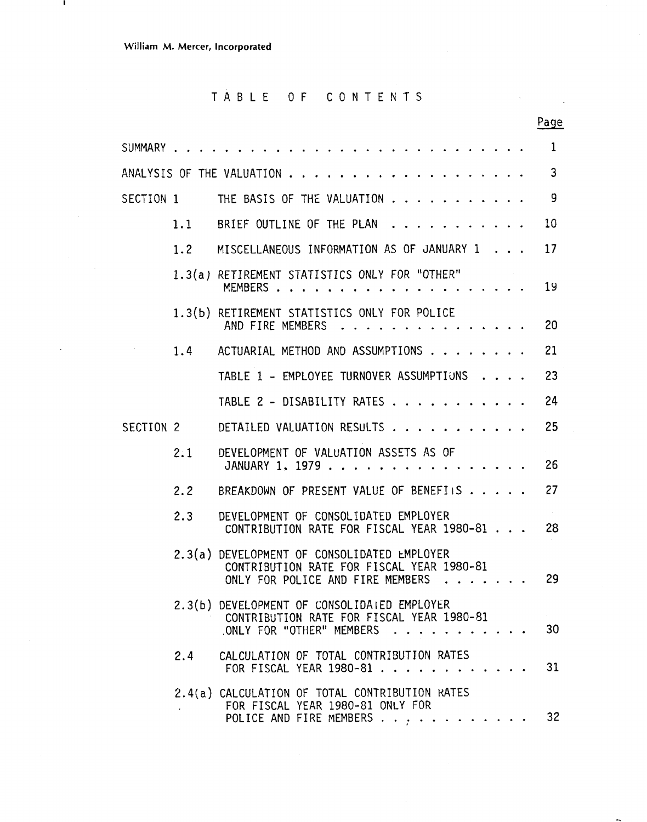$\mathbf{I}$ 

 $\ddot{\phantom{1}}$ 

# TABLE OF CONTENTS

 $\bar{\Delta}$ 

 $\sim 10^{11}$  m  $^{-1}$ 

|           |     |                                                                                                                                                                                                                                                                                                                                                               | Page         |
|-----------|-----|---------------------------------------------------------------------------------------------------------------------------------------------------------------------------------------------------------------------------------------------------------------------------------------------------------------------------------------------------------------|--------------|
|           |     |                                                                                                                                                                                                                                                                                                                                                               | $\mathbf{1}$ |
|           |     |                                                                                                                                                                                                                                                                                                                                                               | $\mathbf{3}$ |
| SECTION 1 |     | THE BASIS OF THE VALUATION                                                                                                                                                                                                                                                                                                                                    | -9           |
|           | 1.1 | BRIEF OUTLINE OF THE PLAN                                                                                                                                                                                                                                                                                                                                     | 10           |
|           | 1.2 | MISCELLANEOUS INFORMATION AS OF JANUARY 1                                                                                                                                                                                                                                                                                                                     | 17           |
|           |     | 1.3(a) RETIREMENT STATISTICS ONLY FOR "OTHER"<br>MEMBERS                                                                                                                                                                                                                                                                                                      | 19           |
|           |     | 1.3(b) RETIREMENT STATISTICS ONLY FOR POLICE<br>AND FIRE MEMBERS<br>$\mathbf{r}$ , $\mathbf{r}$ , $\mathbf{r}$ , $\mathbf{r}$ , $\mathbf{r}$ , $\mathbf{r}$                                                                                                                                                                                                   | 20           |
|           |     | 1.4 ACTUARIAL METHOD AND ASSUMPTIONS                                                                                                                                                                                                                                                                                                                          | 21           |
|           |     | TABLE 1 - EMPLOYEE TURNOVER ASSUMPTIONS                                                                                                                                                                                                                                                                                                                       | 23           |
|           |     | TABLE 2 - DISABILITY RATES                                                                                                                                                                                                                                                                                                                                    | 24           |
| SECTION 2 |     | DETAILED VALUATION RESULTS                                                                                                                                                                                                                                                                                                                                    | 25           |
|           | 2:1 | DEVELOPMENT OF VALUATION ASSETS AS OF<br>JANUARY 1, 1979                                                                                                                                                                                                                                                                                                      | 26           |
|           | 2.2 | BREAKDOWN OF PRESENT VALUE OF BENEFIIS                                                                                                                                                                                                                                                                                                                        | 27           |
|           | 2.3 | DEVELOPMENT OF CONSOLIDATED EMPLOYER<br>CONTRIBUTION RATE FOR FISCAL YEAR 1980-81                                                                                                                                                                                                                                                                             | 28           |
|           |     | 2.3(a) DEVELOPMENT OF CONSOLIDATED EMPLOYER<br>CONTRIBUTION RATE FOR FISCAL YEAR 1980-81<br>ONLY FOR POLICE AND FIRE MEMBERS<br>. The contract of the contract of the contract of the contract of the contract of the contract of the contract of the contract of the contract of the contract of the contract of the contract of the contract of the contrac | 29           |
|           |     | 2.3(b) DEVELOPMENT OF CONSOLIDATED EMPLOYER<br>CONTRIBUTION RATE FOR FISCAL YEAR 1980-81<br>ONLY FOR "OTHER" MEMBERS 30                                                                                                                                                                                                                                       |              |
|           |     | 2.4 CALCULATION OF TOTAL CONTRIBUTION RATES<br>FOR FISCAL YEAR 1980-81                                                                                                                                                                                                                                                                                        | 31           |
|           |     | 2.4(a) CALCULATION OF TOTAL CONTRIBUTION RATES<br>FOR FISCAL YEAR 1980-81 ONLY FOR<br>POLICE AND FIRE MEMBERS                                                                                                                                                                                                                                                 | 32           |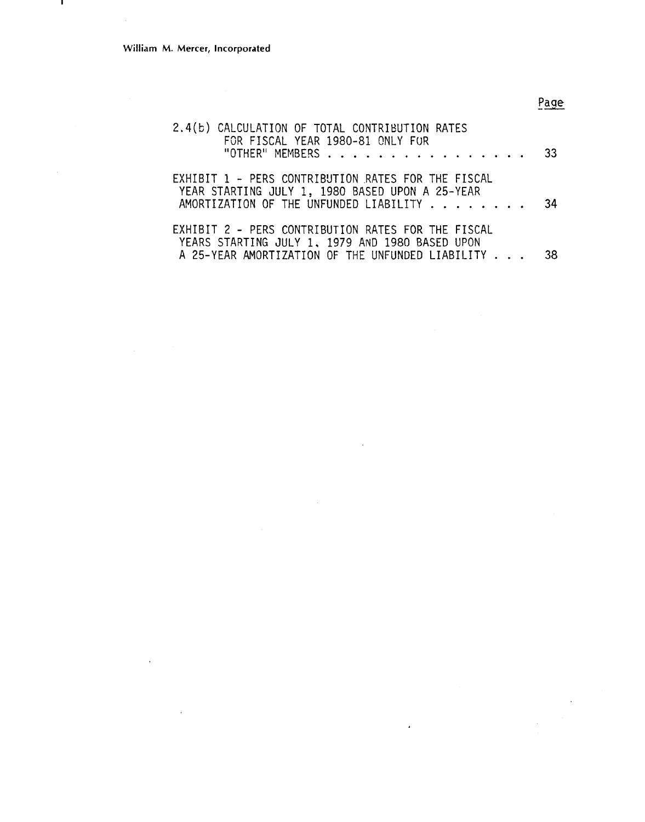l,

 $\hat{\boldsymbol{\beta}}$ 

л.

# Page

 $\sim 10$ 

| 2.4(b) CALCULATION OF TOTAL CONTRIBUTION RATES<br>FOR FISCAL YEAR 1980-81 ONLY FUR                    |    |
|-------------------------------------------------------------------------------------------------------|----|
| "OTHER" MEMBERS 33                                                                                    |    |
| EXHIBIT 1 - PERS CONTRIBUTION RATES FOR THE FISCAL<br>YEAR STARTING JULY 1, 1980 BASED UPON A 25-YEAR |    |
| AMORTIZATION OF THE UNFUNDED LIABILITY                                                                | 34 |
| EXHIBIT 2 - PERS CONTRIBUTION RATES FOR THE FISCAL<br>YEARS STARTING JULY 1, 1979 AND 1980 BASED UPON |    |
| A 25-YEAR AMORTIZATION OF THE UNFUNDED LIABILITY 38                                                   |    |

l,

 $\bar{\bar{z}}$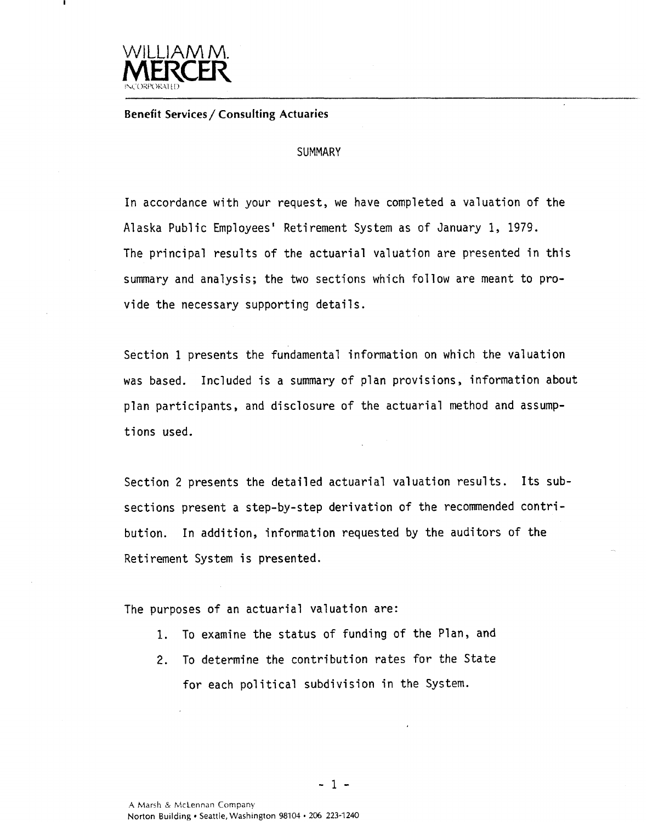

### **Benefit Services/ Consulting Actuaries**

#### **SUMMARY**

In accordance with your request, we have completed a valuation of the Alaska Public Employees' Retirement System as of January 1, 1979. The principal results of the actuarial valuation are presented in this summary and analysis; the two sections which follow are meant to provide the necessary supporting details.

Section 1 presents the fundamental information on which the valuation was based. Included is a summary of plan provisions, information about plan participants, and disclosure of the actuarial method and assumptions used.

Section 2 presents the detailed actuarial valuation results. Its subsections present a step-by-step derivation of the recommended contribution. In addition, information requested by the auditors of the Retirement System is presented.

The purposes of an actuarial valuation are:

- 1. To examine the status of funding of the Plan, and
- 2. To determine the contribution rates for the State for each political subdivision in the System.

**A** Marsh & McLennan Company Norton Building Seattle, Washington 98104 **e** *206* **223-1240**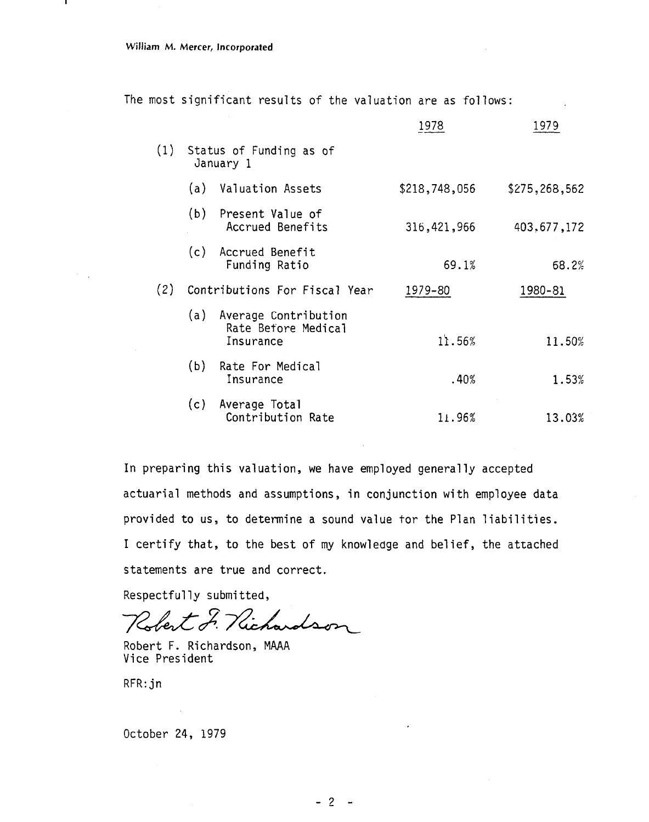|  |  | The most significant results of the valuation are as follows: |  |  |  |  |  |  |  |
|--|--|---------------------------------------------------------------|--|--|--|--|--|--|--|
|--|--|---------------------------------------------------------------|--|--|--|--|--|--|--|

|     |     |                                                              | 1978          | 1979          |
|-----|-----|--------------------------------------------------------------|---------------|---------------|
| (1) |     | Status of Funding as of<br>January 1                         |               |               |
|     |     | (a) Valuation Assets                                         | \$218,748,056 | \$275,268,562 |
|     |     | (b) Present Value of<br>Accrued Benefits                     | 316,421,966   | 403, 677, 172 |
|     |     | (c) Accrued Benefit<br>Funding Ratio                         | 69.1%         | 68.2%         |
| (2) |     | Contributions For Fiscal Year                                | 1979-80       | 1980-81       |
|     |     | (a) Average Contribution<br>Rate Before Medical<br>Insurance | 11.56%        | 11.50%        |
|     | (b) | Rate For Medical<br>Insurance                                | .40%          | 1.53%         |
|     |     | (c) Average Total<br>Contribution Rate                       | 11.96%        | 13.03%        |

In preparing this valuation, we have employed generally accepted actuarial methods and assumptions, in conjunction with employee data provided to us, to determine a sound value tor the Plan liabilities. I certify that, to the best of my knowledge and belief, the attached statements are true and correct.

Respectfully submitted,

Robert F. Nichardson

Robert F. Richardson, MAAA Vice President

RFR: jn

October 24, 1979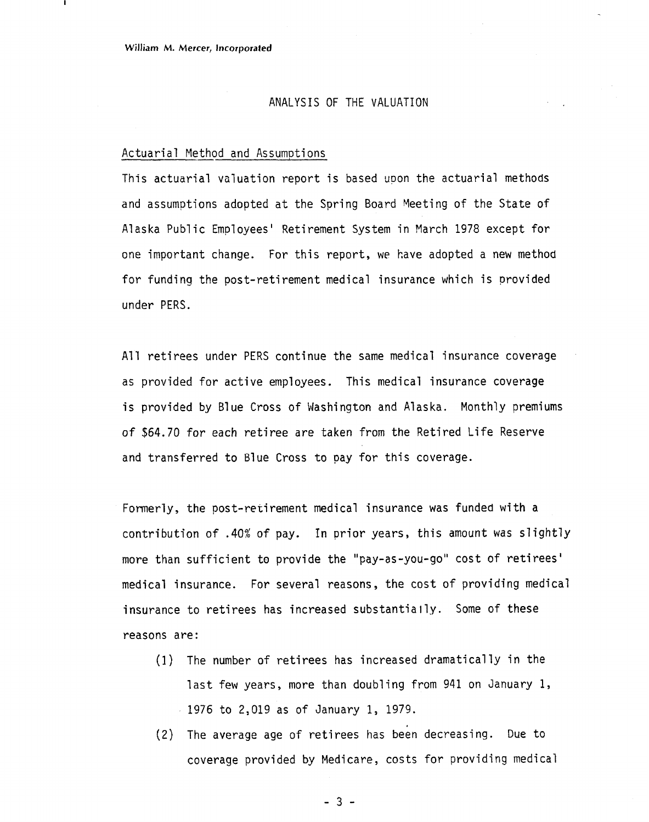#### ANALYSIS OF THE VALUATION

#### Actuarial Method and Assumptions

This actuarial valuation report is based upon the actuarial methods and assumptions adopted at the Spring Board Meeting of the State of Alaska Public Employees' Retirement System in March 1978 except for one important change. For this report, we have adopted a new method for funding the post-retirement medical insurance which is provided under PERS.

All retirees under PERS continue the same medical insurance coverage as provided for active employees. This medical insurance coverage is provided by Blue Cross of Washington and Alaska. Monthly premiums of \$64.70 for each retiree are taken from the Retired Life Reserve and transferred to Blue Cross to pay for this coverage.

Formerly, the post-retirement medical insurance was funded with a contribution of .40% of pay. In prior years, this amount was slightly more than sufficient to provide the "pay-as-you-go" cost of retirees' medical insurance. For several reasons, the cost of providing medical insurance to retirees has increased substantially. Some of these reasons are:

- (1 ) The number of retirees has increased dramatical ly in the last few years, more than doubling from 941 on January 1, 1976 to 2,019 as of January 1, 1979.
- **(2)** The average age of retirees has been decreasing. Due to coverage provided by Medicare, costs for providing medical

 $-3-$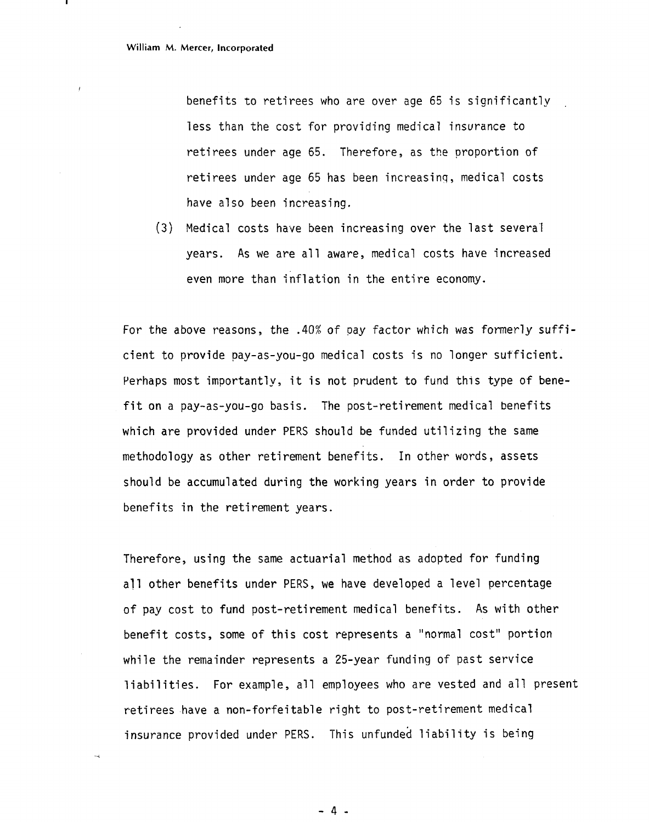$\epsilon$ 

-.

benefits to retirees who are over age 65 is significantly less than the cost for providing medical insurance to retirees under age 65. Therefore, as the proportion of retirees under age 65 has been increasing, medical costs have also been increasing.

(3) Medical costs have been increasing over the last several years. As we are all aware, medical costs have increased even more than fnflation in the entire economy.

For the above reasons, the .40% of pay factor which was formerly sufficient to provide pay-as-you-go medical costs is no longer sutficient. Perhaps most importantly, it is not prudent to fund this type of benefit on a pay-as-you-go basis. The post-retirement medical benefits which are provided under PERS should be funded utilizing the same methodology as other retirement benefits. In other words, assets should be accumulated during the working years in order to provide benefits in the retirement years.

Therefore, using the same actuarial method as adopted for funding all other benefits under PERS, we have developed a level percentage of pay cost to fund post-retirement medical benefits. As with other benefit costs, some of this cost represents a "normal cost" portion while the remainder represents a 25-year funding of past service liabilities. For example, all employees who are vested and all present retirees have a non-forfeitable right to post-retirement medical insurance provided under PERS. This unfunded liability is being

 $-4-$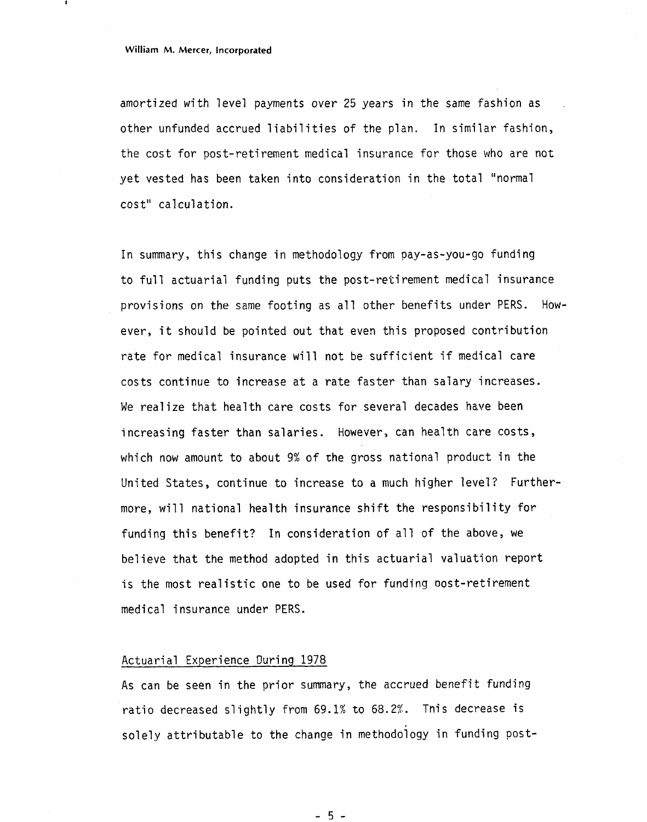amortized with level payments over 25 years in the same fashion as other unfunded accrued liabilities of the plan. In similar fashion, the cost for post-retirement medical insurance for those who are not yet vested has been taken into consideration in the total "normal cost" calculation.

In summary, this change in methodology from pay-as-you-go funding to full actuarial funding puts the post-retirement medical insurance provisions on the same footing as all other benefits under PERS. However, it should be pointed out that even this proposed contribution rate for medical insurance will not be sufficient if medical care costs continue to increase at a rate faster than salary increases. We realize that health care costs for several decades have been increasing faster than salaries. However, can health care costs, which now amount to about 9% of the gross national product in the United States, continue to increase to a much higher level? Furthermore, will national health insurance shift the responsibility for funding this benefit? In consideration of all of the above, we believe that the method adopted in this actuarial valuation report is the most realistic one to be used for funding oost-retirement medical insurance under PERS.

#### Actuarial Experience During 1978

As can be seen in the prior summary, the accrued benefit funding ratio decreased slightly from 69.1% to 68.2%. Tnis decrease is solely attributable to the change in methodoiogy in funding post-

 $-5-$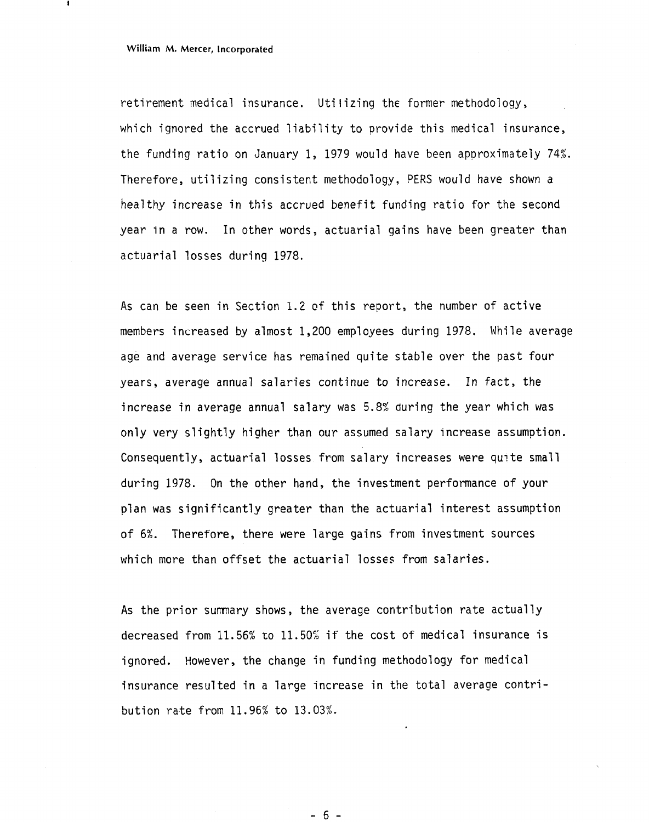retirement medical insurance. Uti **l** izing the former methodology, which ignored the accrued liability to provide this medical insurance, the funding ratio on January 1, 1979 would have been approximately 74% Therefore, utilizing consistent methodology, PERS would have shown a healthy increase in this accrued benefit funding ratio for the second year in a row. In other words, actuarial gains have been greater than actuarial losses during 1978.

As can be seen in Section 1.2 of this report, the number of active members increased by almost 1,200 employees during 1978. While average age and average service has remained quite stable over the past four years, average annual salaries continue to increase. In fact, the increase in average annual salary was 5.8% during the year which was only very slightly higher than our assumed salary increase assumption. Consequently, actuarial losses from salary increases were quite small during 1978. On the other hand, the investment performance of your plan was significantly greater than the actuarial interest assumption of 6%. Therefore, there were large gains from investment sources which more than offset the actuarial losses from salaries.

As the prior summary shows, the average contribution rate actually decreased from 11.56% to 11.50% if the cost of medical insurance is ignored. However, the change in funding methodology for medical insurance resulted in a large increase in the total average contribution rate from 11.96% to 13.03%.

 $-6-$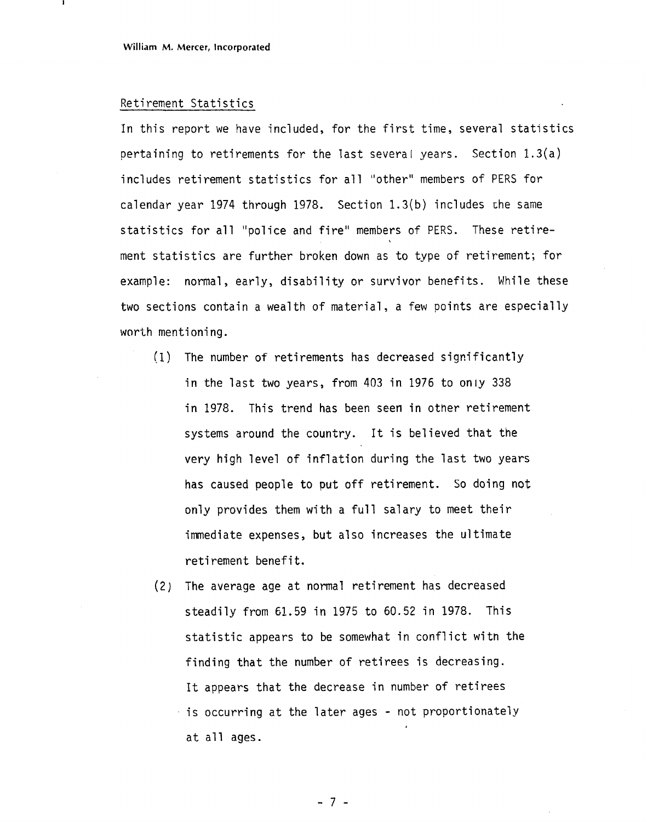#### Retirement Statistics

In this report we have included, for the first time, several statistics pertaining to retirements for the last several years. Section  $1.3(a)$ includes retirement statistics for all "other" members of PERS for calendar year 1974 through 1978. Section  $1.3(b)$  includes the same statistics for all "police and fire" members of PERS. These retirement statistics are further broken down as to type of retirement; for example: normal, early, disability or survivor benefits. While these two sections contain a wealth of material, a few points are especially worth mentioning.

- (1) The number of retirements has decreased significantly in the last two years, from 403 in 1976 to only 338 in 1978. This trend has been seen in other retirement systems around the country. It is believed that the very high level of inflation during the last two years has caused people to put off retirement. So doing not only provides them with a full salary to meet their immediate expenses, but also increases the ultimate retirement benefit.
- (2) The average age at normal retirement has decreased steadily from 61.59 in 1975 to 60.52 in 1978. This statistic appears to be somewhat in conflict witn the finding that the number of retirees is decreasing. It appears that the decrease in number of retirees  $\cdot$  is occurring at the later ages  $\text{-}$  not proportionately at a11 ages.

 $-7 -$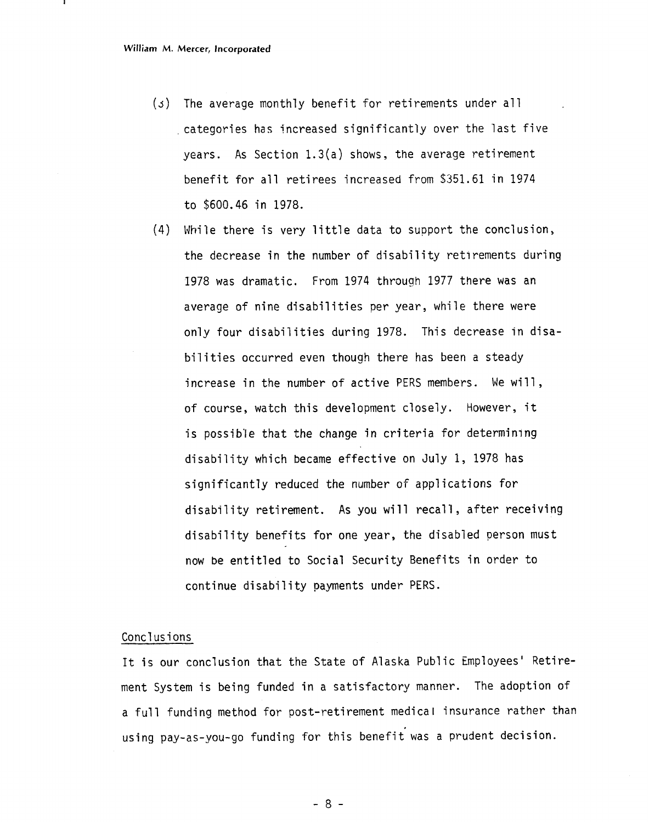- *(3)* The average monthly benefit for retirements under all categories has increased significantly over the last five years. As Section 1.3(a) shows, the average retirement benefit for all retirees increased from \$351.61 in 1974 to \$600.46 in 1978.
- (4) While there is very little data to support the conclusion, the decrease in the number of disability retirements during 1978 was dramatic. From 1974 through 1977 there was an average of nine disabilities per year, while there were only four disabilities during 1978. This decrease in disabilities occurred even though there has been a steady increase in the number of active PERS members. We will, of course, watch this development closely. However, it is possible that the change in criteria for determining disability which became effective on July 1, 1978 has significantly reduced the number of applications for disability retirement. As you will recall, after receiving disability benefits for one year, the disabled person must now be entitled to Social Security Benefits in order to continue disability payments under PERS.

### Concl us i ons

It is our conclusion that the State of Alaska Public Employees' Retirement System is being funded in a satisfactory manner. The adoption of a full funding method for post-retirement medical insurance rather than using pay-as-you-go funding for this benefit was a prudent decision.

 $-8-$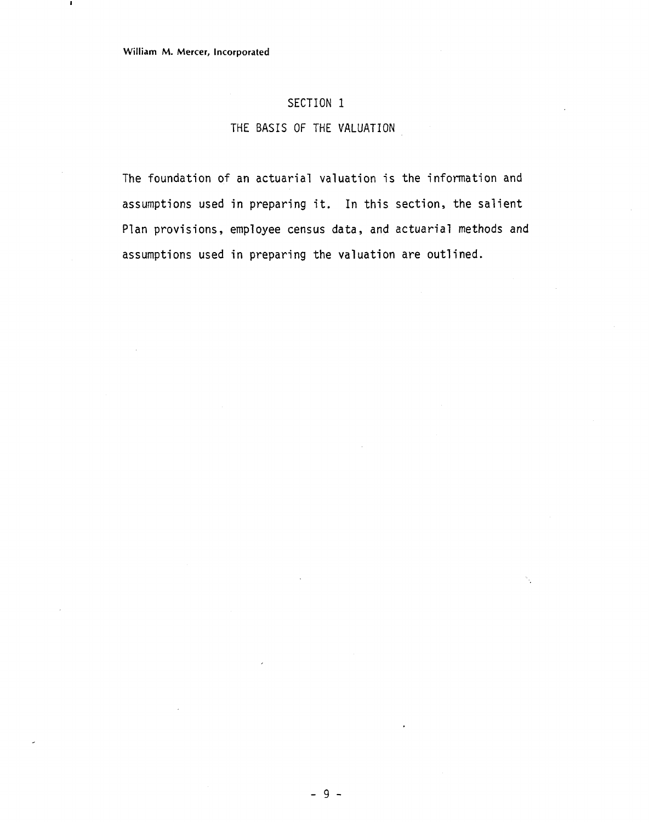### SECTION 1

### THE BASIS OF THE VALUATION

The foundation of an actuarial valuation is the information and assumptions used in preparing it. In this section, the salient Plan provisions, employee census data, and actuarial methods and assumptions used in preparing the valuation are outlined.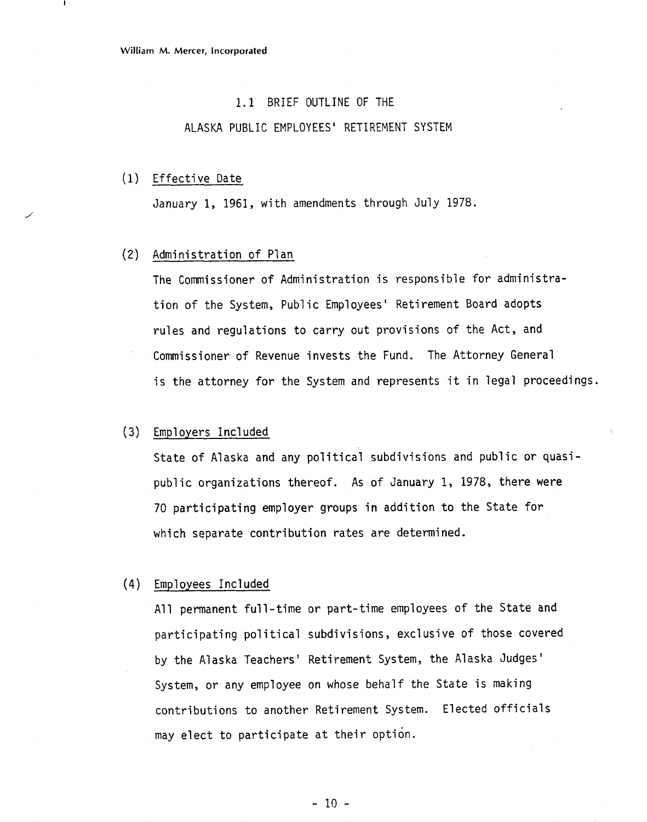#### 1.1 BRIEF OUTLINE OF THE

### ALASKA PUBLIC EMPLOYEES' RETIREMENT SYSTEM

#### Effective Date

January 1, 1961, with amendments through July 1978.

### Administration of Plan

The Commissioner of Administration is responsible for administration of the System, Public Employees' Retirement Board adopts rules and regulations to carry out provisions of the Act, and Commissioner of Revenue invests the Fund. The Attorney General is the attorney for the System and represents it in legal proceedings.

### (3) Employers Included

State of Alaska and any political subdivisions and public or quasipublic organizations thereof. As of January 1, 1978, there were 70 participating employer groups in addition to the State for which separate contribution rates are determined.

#### Employees Included

All permanent full-time or part-time employees of the State and participating political subdivisions, exclusive of those covered by the Alaska Teachers' Retirement System, the Alaska Judges' System, or any employee on whose behalf the State is making contributions to another Retirement System. Elected officials may elect to participate at their option.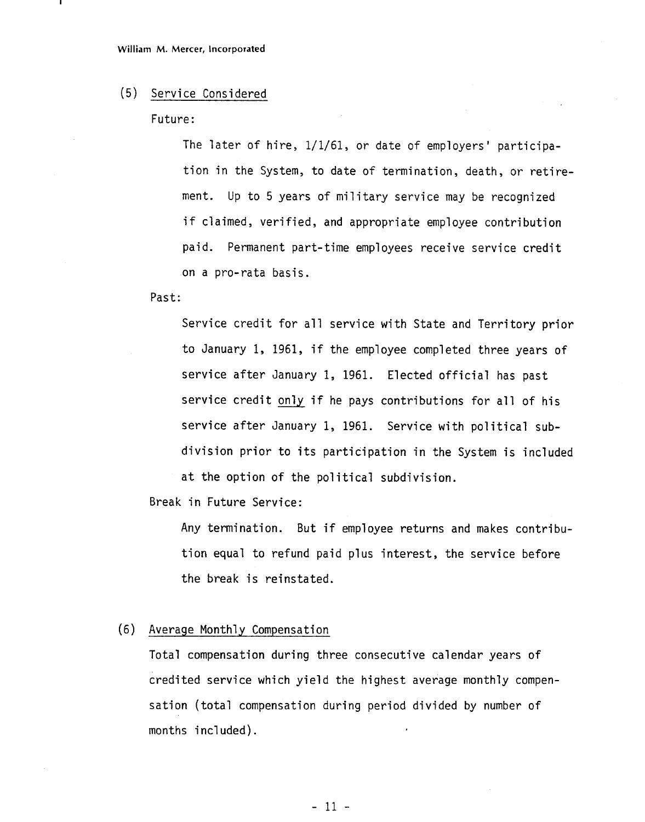#### (5) Service Considered

### Future:

The later of hire, 1/1/61, or date of employers' participation in the System, to date of termination, death, or retirement. Up to 5 years of military service may be recognized if claimed, verified, and appropriate employee contribution paid. Permanent part-time employees receive service credit on a pro-rata basis.

### Past:

Service credit for all service with State and Territory prior to January 1, 1961, if the employee completed three years of service after January 1, 1961. Elected official has past service credit only if he pays contributions for all of his service after January 1, 1961. Service with political subdivision prior to its participation in the System is included at the option of the political subdivision.

Break in Future Service:

Any termination. But if employee returns and makes contribution equal to refund paid plus interest, the service before the break is reinstated.

### (6) Average Monthly Compensation

Total compensation during three consecutive calendar years of credited service which yield the highest average monthly compensation (total compensation during period divided by number of months included).

 $-11 -$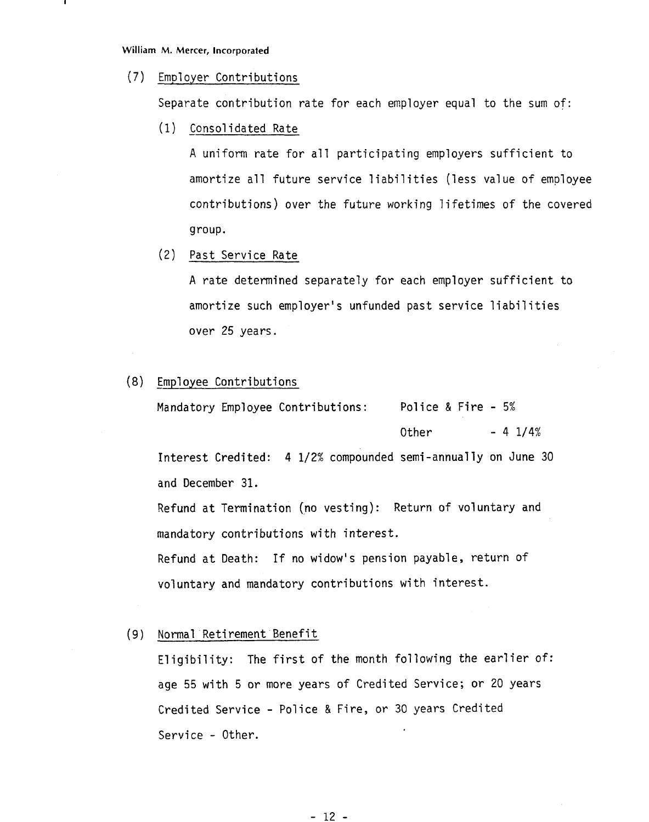### (7) Em01 oyer Contributions

Separate contribution rate for each employer equal to the sum of:

(1) Consolidated Rate

A uniform rate for a11 participating employers sufficient to amortize all future service liabilities (less value of employee contributions) over the future working lifetimes of the covered group.

(2) Past Service Rate

**<sup>A</sup>**rate determined separately for each employer sufficient to amortize such employer's unfunded past service liabilities over 25 years.

### (8) Employee Contributions

Mandatory Employee Contributions: Police & Fire - 5% Other  $- 4 \frac{1}{4}$ 

Interest Credited: 4 1/2% compounded semi-annually on June 30 and December 31.

Refund at Termination (no vesting): Return of voluntary and mandatory contributions with interest.

Refund at Death: If no widow's pension payable, return of voluntary and mandatory contributions with interest.

### (9) Norma1 Retirement Benefit

Eligibility: The first of the month following the earlier of: age 55 with 5 or more years of Credited Service; or 20 years Credited Service - Police & Fire, or 30 years Credited Service - Other.

 $-12 -$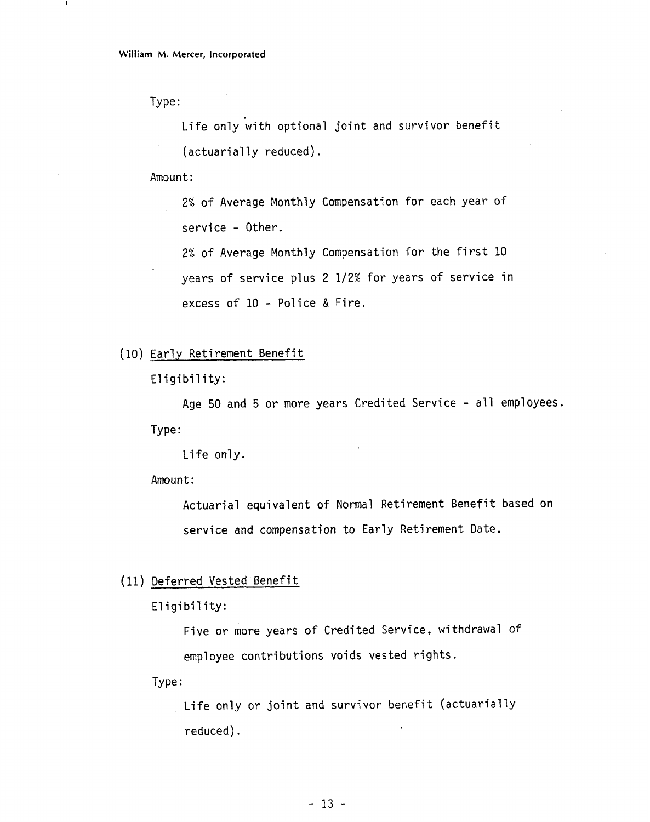Type :

п

ife only with optional joint and survivor benefit. (actuarially reduced).

Amount:

2% of Average Monthly Compensation for each year of service - Other.

2% of Average Monthly Compensation for the first 10 years of service plus 2 112% for years of service in excess of 10 - Police & Fire.

(10) Early Retirement Benefit

Eligibility:

Age 50 and 5 or more years Credited Service - all employees. Type :

Life only.

Amount :

Actuarial equivalent of Normal Retirement Benefit based on service and compensation to Early Retirement Date.

(11) Deferred Vested Benefit

Eligibility:

Five or more years of Credited Service, withdrawal of employee contributions voids vested rights.

Type :

Life only or joint and survivor benefit (actuarially reduced).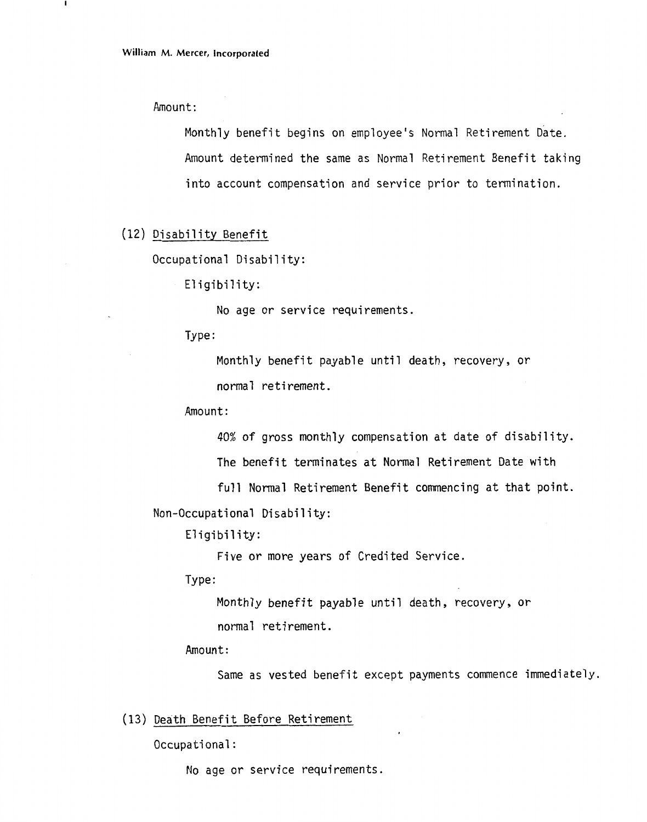Amount:

Monthly benefit begins on employee's Normal Retirement Date. Amount determined the same as Normal Retirement Benefit taking into account compensation and service prior to termination.

```
(12) Disability Benefit
```
Occupational Disability:

Eligibility:

No age or service requirements.

Type :

Monthly benefit payable until death, recovery, or normal retirement.

Amount:

40% of gross monthly compensation at date of disability.

The benefit terminates at Normal Retirement Date with

full Normal Retirement Benefit commencing at that point.

Non-Occupational Disability:

Eligibility:

Five or more years of Credited Service.

Type :

Monthly benefit payable until death, recovery, or normal retirement.

Amount:

Same as vested benefit except payments commence immediately.

(13) Death Benefit Before Retirement

Occupational:

No age or service requirements.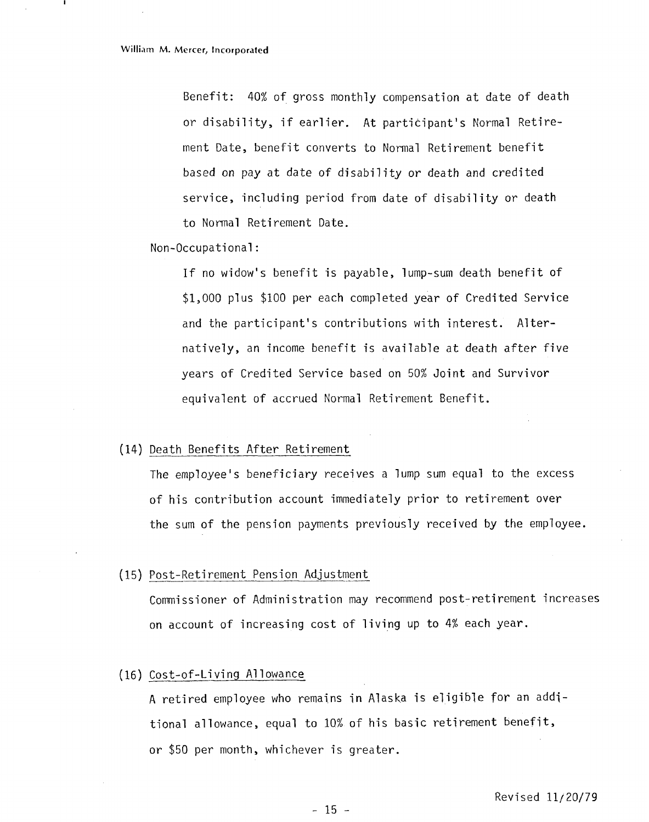Benefit: 40% of gross monthly compensation at date of death or disability, if earlier. At participant's Normal Retirement Date, benefit converts to Normal Retirement benefit based on pay at date of disability or death and credited service, including period from date of disability or death to Normal Retirement Date.

#### Non-Occupational :

If no widow's benefit is payable, lump-sum death benefit of \$1,000 plus \$100 per each completed year of Credited Service and the participant's contributions with interest. Alternatively, an income benefit is available at death after five years of Credited Service based on 50% Joint and Survivor equivalent of accrued Normal Retirement Benefit.

### (14) Death Benefits After Retirement

The employee's beneficiary receives a lump sum equal to the excess of his contribution account immediately prior to retirement over the sum of the pension payments previously received by the employee.

#### (15) Post-Retirement Pension Adjustment

Commissioner of Administration may recommend post-retirement increases on account of increasing cost of living up to 4% each year.

#### (16) Cost-of-Living Allowance

A retired employee who remains in Alaska is eligible for an addjtional allowance, equal to 10% of his basic retirement benefit, or \$50 per month, whichever is greater.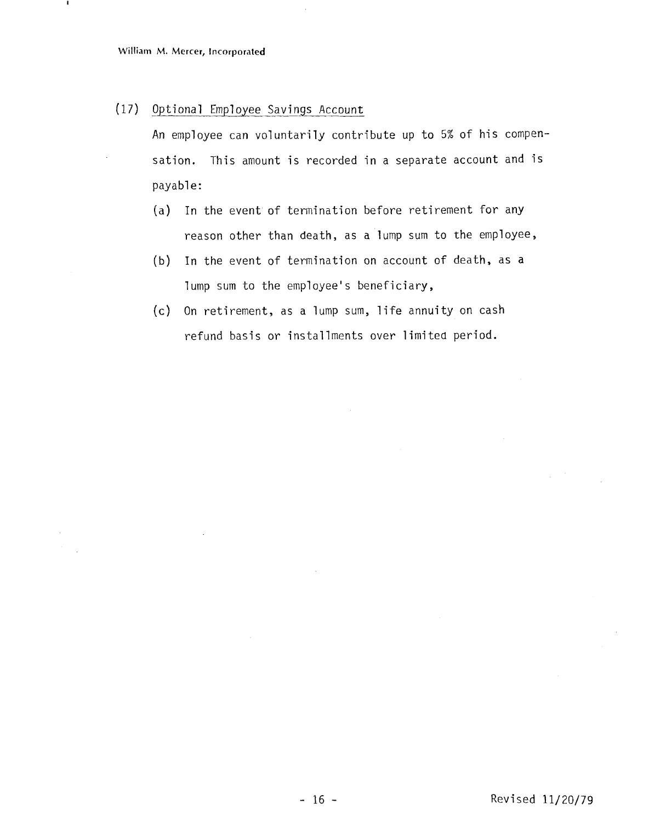(17) Optional Employee Savings Account

An employee can voluntarily contribute up to 5% of his compensation. This amount is recorded in a separate account and is payable:

- (a) In the event of termination before retirement for any reason other than death, as a lump sum to the employee,
- (b) In the event of termination on account of death, as a lump sum to the employee's beneficiary,
- (c) On retirement, as a lump sum, life annuity on cash refund basis or installments over limited period.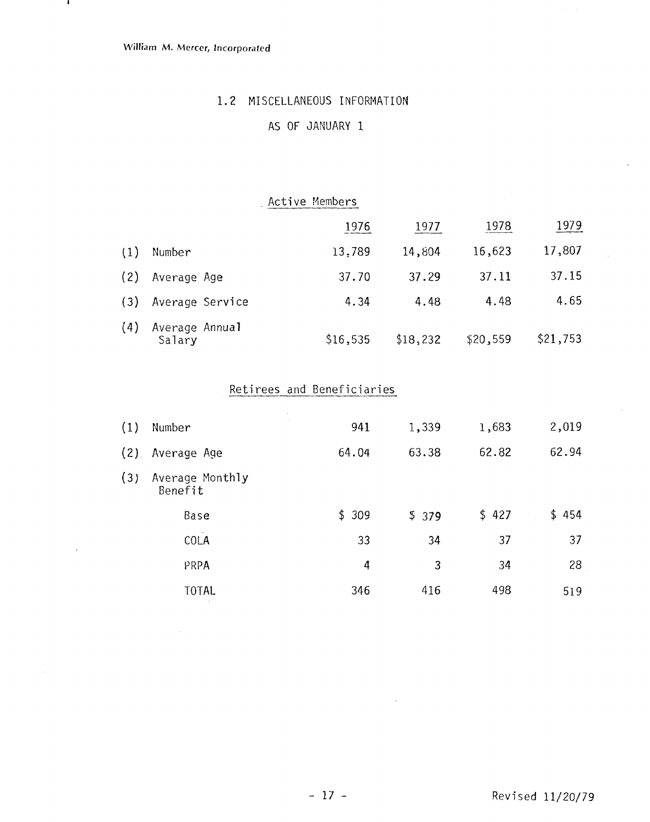$\mathbf{I}$ 

### 1.2 MISCELLANEOUS INFORMATION

### AS OF JANUARY 1

### Active Members

|     |                          | 1976     | 1977     | 1978     | 1979     |
|-----|--------------------------|----------|----------|----------|----------|
| (1) | Number                   | 13,789   | 14,804   | 16,623   | 17,807   |
| (2) | Average Age              | 37.70    | 37.29    | 37.11    | 37.15    |
| (3) | Average Service          | 4.34     | 4.48     | 4.48     | 4.65     |
| (4) | Average Annual<br>Salary | \$16,535 | \$18,232 | \$20,559 | \$21,753 |

# Retirees and Beneficiaries

| $\left(1\right)$ | Number                     | 941   | 1,339 | 1,683 | 2,019 |
|------------------|----------------------------|-------|-------|-------|-------|
| $(2)$ .          | Average Age                | 64.04 | 63.38 | 62.82 | 62.94 |
| (3)              | Average Monthly<br>Benefit |       |       |       |       |
|                  | Base                       | \$309 | \$379 | \$427 | \$454 |
|                  | COLA                       | 33    | 34    | 37    | 37    |
|                  | PRPA                       | 4     | 3     | 34    | 28    |
|                  | <b>TOTAL</b>               | 346   | 416   | 498   | 519   |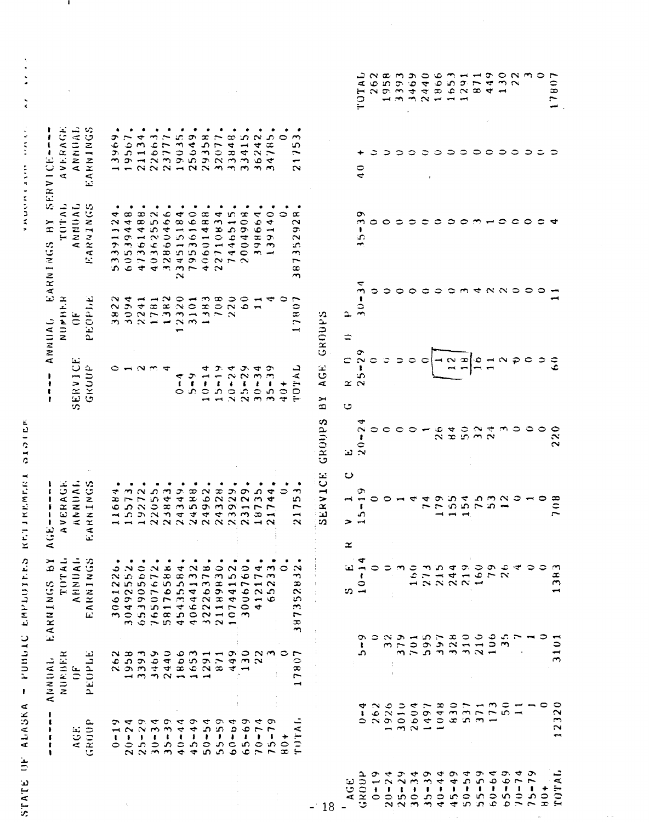262 17807 1958 3393 3469 2440 1866 1653 449 130 **UATOT** 1291  $871$ 22 ANNHAL **AVERAGE** EARNINGS  $\frac{1}{2}$  and  $\frac{1}{2}$  and  $\frac{1}{2}$  and  $\frac{1}{2}$  and  $\frac{1}{2}$  and  $\frac{1}{2}$  and  $\frac{1}{2}$  and  $\frac{1}{2}$  and  $\frac{1}{2}$  and  $\frac{1}{2}$  and  $\frac{1}{2}$  and  $\frac{1}{2}$  and  $\frac{1}{2}$  and  $\frac{1}{2}$  and  $\frac{1}{2}$  and  $\frac{1}{2}$  a  $19567.$ 21134.  $220663$ 23777.  $34785.$ 19035 25649 32077 36242 13969 29358 33848 33415  $\circ$ 21753  $\Rightarrow$  $\Rightarrow$  $\circ$  $\frac{1}{4}$ TOTAL **ANNIAL EARNINGS** 40362552. 32860466. 234515184.  $22710834.$ 79536160 53391124 60539448 47361488 40601488 7446515 2004908 398664 139140  $\Rightarrow$ 387352928  $35 - 39$  $\circ$  $\circ$  $\Rightarrow$  $\Rightarrow$  $\Rightarrow$  $\circ$  $\Rightarrow$  $\Rightarrow$  $\rightarrow$  $\Rightarrow$  $\epsilon$  $\circ$  $\epsilon$  $30 - 34$ oooomena Ò,  $\circ$   $\circ$  $\Rightarrow$  $\circ$  $\circ$  $\overline{1}$ 1382  $708$ 3822 3094 1383  $220$ NUMBER 2241 12320 3101  $60$ PEOPLE 1781 17807  $\overline{11}$  $\ddot{\rm d}$ ≏ BY AGE GROUPS  $\equiv$  $25 - 29$  $\frac{\infty}{1}$  $\frac{\infty}{1}$  $\subset$  $\circ$  $\ddot{\phi}$  $\Rightarrow$  $\ddot{\circ}$  $\circ$  $\overline{\phantom{0}}$  $\overline{11}$  $N \nvert \mathcal{D} \nvert \mathcal{D} \nvert \mathcal{D}$ ္ခြ SERVICE GRUUP  $15 - 19$  $25 - 29$  $\sim$  $10 - 14$  $20 - 24$  $30 - 34$  $35 - 39$ **UNILOI**  $\overline{a}$  $0 - 4$  $6 - 9$  $40 +$  $\propto$ Ü SERVICE GROUPS  $20 - 24$  $\bullet$  $\circ$  $\circ$  $26$  $\mathbf{B}$  $5024$ 220  $\circ$  $\circ$  $\mathbf{r}$  $\ddot{\phantom{0}}$ ANNUAL. **AVERAGE** EARNINGS 5573. 24349. 24588. 24328. 23129.  $\frac{1}{2}$   $\frac{1}{2}$   $\frac{1}{2}$   $\frac{1}{2}$   $\frac{1}{2}$   $\frac{1}{2}$   $\frac{1}{2}$   $\frac{1}{2}$   $\frac{1}{2}$   $\frac{1}{2}$ 19272.  $22055$ 23843. 24962. 23929. 18735. 21744. 11684.  $21753.$  $15 - 19$  $\overline{\phantom{0}}$  $\overline{7}$  $179$  $154$ <br> $154$ <br> $753$ <br> $53$ 708  $\circ$  $\overline{1}$  $\circ$  $\ddot{\phantom{0}}$  $\rightarrow$  $\propto$ EARNINGS BY TOTAL AHNUAL. EARNINGS 3061226. 30492552. 65390560. 76507672. 58176588. 45435584. 40644132. 32226378. 21189830.  $10744152.$ 3006760. 412174. 65233. 387352832.  $10 - 14$  $160$  $273$  $215$  $244$ 219 160 1383  $\circ$  $\Rightarrow$ 79  $26$ Ĺ.  $\mathbf{r}$  $\Rightarrow$ ທ  $5 - 9$ 379<br>379 595  $328$  $310$ 210  $106$  $\overline{35}$  $701$ 166 3101  $806$ 653 449 130 22 ANUAL. 262  $958$ 3393 3469 440 291  $871$ NUMBER PEOPLE 17807  $\frac{1}{2}$  $630$ 2604 1048 173  $\frac{6}{2}$ 262 926 3010 1497 537 12320  $0 - 4$ 371  $\Xi$  $\begin{array}{c}\n\bullet \\
\bullet \\
\bullet \\
\bullet \\
\bullet \\
\bullet \\
\bullet\n\end{array}$  $20 - 24$  $35 - 39$  $45 - 49$  $50 - 54$  $55 - 59$  $60 - 04$  $65 - 69$  $10 - 74$  $75 - 79$ [A]TAL GROUP  $25 - 29$  $30 - 34$  $40 - 44$  $0 - 19$ AGE.  $\frac{1}{2}$  $35 - 39$  $60 - 64$  $25 - 29$  $45 - 49$  $50 - 54$  $55 - 59$  $63 - 69$ TOTAL  $40 - 44$  $70 - 74$  $75 - 79$ GROUP  $0 - 19$  $20 - 24$  $30 - 34$  $\frac{1}{2}$  AGE  $+0+$ 18

 $\frac{1}{3}$ 

**THE REPORT OF A STATE OF A STATE OF A STATE OF A STATE OF A STATE OF A STATE OF A STATE OF A STATE** 

STATE OF ALASKA – POBULC EMPLOTERS KETTIKEMERI SISTEM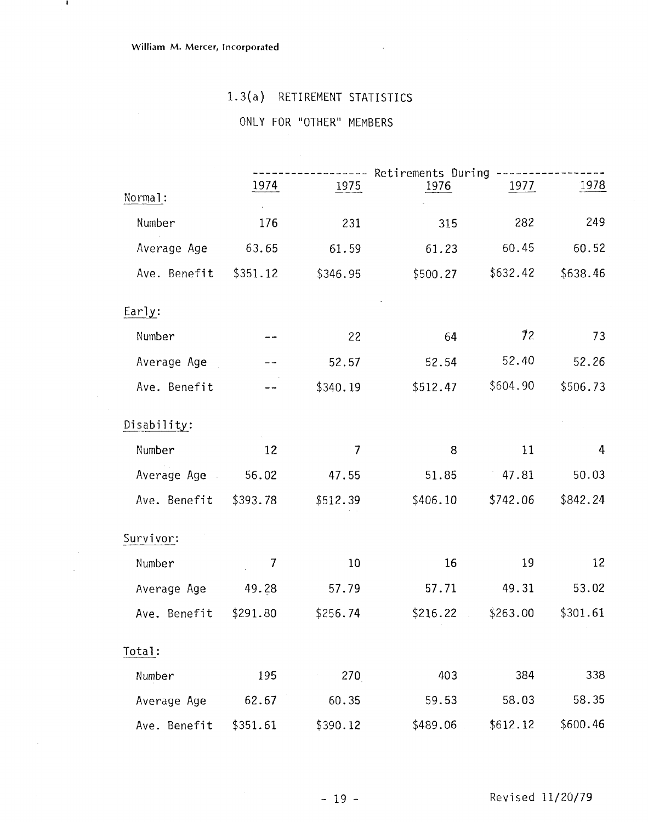$\mathbf{I}$ 

 $\sim 10^7$ 

 $\mathbb{R}^2$  .  $\sim$ 

# 1.3(a) RETIREMENT STATISTICS

# ONLY FOR "OTHER" MEMBERS

|                   |          |                | -------- Retirements During ----------- |                      |          |
|-------------------|----------|----------------|-----------------------------------------|----------------------|----------|
| Normal:           | 1974     | 1975           | 1976                                    | 1977                 | 1978     |
| Number            | 176      | 231            | 315                                     | 282                  | 249      |
| Average Age       | 63.65    | 61.59          | 61.23                                   | 60.45                | 60.52    |
| Ave. Benefit      | \$351.12 | \$346.95       |                                         | $$500.27$ $$632.42$  | \$638.46 |
| Early:            |          |                |                                         |                      |          |
| Number            |          | 22             | 64                                      | 72                   | 73       |
| Average Age       |          | 52.57          | 52.54                                   | 52.40                | 52.26    |
| Ave. Benefit      |          | \$340.19       |                                         | \$512.47 \$604.90    | \$506.73 |
| Disability:       |          |                |                                         |                      |          |
| Number            | 12       | $\overline{1}$ | 8                                       | 11                   | 4        |
| Average Age 56.02 |          | 47.55          | 51.85                                   | 47.81                | 50.03    |
| Ave. Benefit      | \$393.78 | \$512.39       |                                         | \$406.10 \$742.06    | \$842.24 |
| Survivor:         |          |                |                                         |                      |          |
| Number            | 7        | 10             | 16                                      | 19                   | 12       |
| Average Age 49.28 |          | 57.79          | 57.71                                   | 49.31                | 53.02    |
| Ave. Benefit      | \$291.80 | \$256.74       |                                         | $$216.22 \t $263.00$ | \$301.61 |
| Total:            |          |                |                                         |                      |          |
| Number            | 195      | 270            | 403                                     | 384                  | 338      |
| Average Age       | 62.67    | 60.35          | 59.53                                   | 58.03                | 58.35    |
| Ave. Benefit      | \$351.61 | \$390.12       | \$489.06                                | \$612.12             | \$600.46 |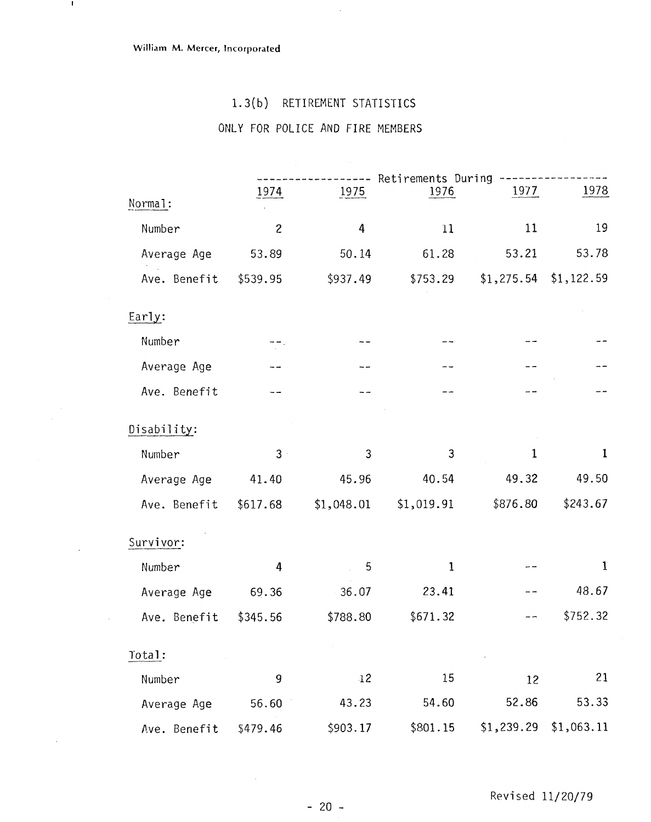$\mathbf{L}$ 

 $\sim$   $\sim$ 

 $\sim$ 

 $\sim$ 

 $\sim$ 

# 1.3(b) RETIREMENT STATISTICS

 $\hat{\boldsymbol{\beta}}$ 

# **ONLY** FOR **POLICE** AND **FIRE** MEMBERS

|              |                |            | ----- Retirements During ---- |                         |             |
|--------------|----------------|------------|-------------------------------|-------------------------|-------------|
| Normal:      | 1974           | 1975       | 1976                          | 1977                    | 1978        |
| Number       | $\overline{c}$ | 4          | 11                            | 11                      | 19          |
| Average Age  | 53.89          | 50.14      | 61.28                         | 53.21                   | 53.78       |
| Ave. Benefit | \$539.95       | \$937.49   | \$753.29                      | $$1,275.54$ $$1,122.59$ |             |
| Early:       |                |            |                               |                         |             |
| Number       |                |            |                               |                         |             |
| Average Age  |                |            |                               |                         |             |
| Ave. Benefit |                |            |                               |                         |             |
|              |                |            |                               |                         |             |
| Disability:  |                |            |                               |                         |             |
| Number       | $3 -$          | 3          | 3                             | $\mathbf{1}$            | 1           |
| Average Age  | 41.40          | 45.96      | 40.54                         | 49.32                   | 49.50       |
| Ave. Benefit | \$617.68       | \$1,048.01 | \$1,019.91                    | \$876.80                | \$243.67    |
| Survivor:    |                |            |                               |                         |             |
| Number       | 4              | 5          | $\mathbf{1}$                  |                         | $\mathbf 1$ |
| Average Age  | 69.36          | 36.07      | 23.41                         |                         | 48.67       |
| Ave. Benefit | \$345.56       | \$788.80   | \$671.32                      |                         | \$752.32    |
|              |                |            |                               |                         |             |
| Total:       |                |            |                               |                         |             |
| Number       | 9              | $-12$      | 15                            | 12                      | 21          |
| Average Age  | 56.60          | 43.23      | 54.60                         | 52.86                   | 53.33       |
| Ave. Benefit | \$479.46       | \$903.17   | \$801.15                      | \$1,239.29              | \$1,063.11  |

 $\sim$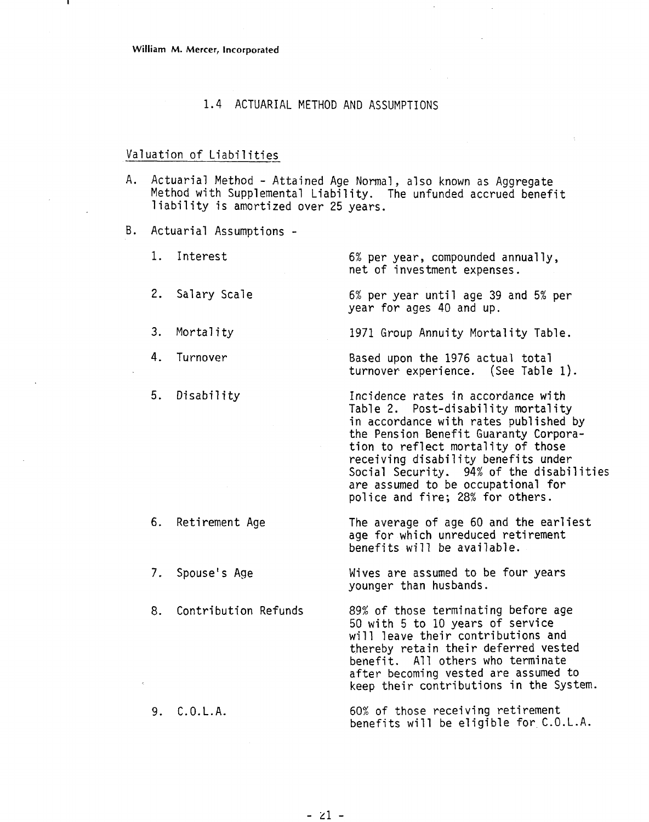### 1.4 ACTUARIAL METHOD AND ASSUMPTIONS

### Valuation of Liabilities

A. Actuarial Method - Attained Age Normal, also known as Aggregate Method with Supplemental Liability. The unfunded accrued benefit liability is amortized over 25 years.

B. Actuarial Assumptions -

1. Interest

2. Salary Scale

4. Turnover

5. Disability

6% per year, compounded annually, net of investment expenses.

6% per year until age 39 and 5% per year for ages 40 and up.

3. Mortality 1971 Group Annuity Mortality Table.

Based upon the 1976 actual total turnover experience. (See Table 1).

Incidence rates in accordance with Table 2. Post-disability mortality in accordance with rates published by the Pension Benefit Guaranty Corporation to reflect mortality of those receiving disability benefits under Social Security. 94% of the disabilities are assumed to be occupational for police and fire; 28% for others.

6. Retirement Age The average of age 60 and the earliest age for which unreduced retirement

7. Spouse's Age

benefits will be available.

Wives are assumed to be four years younger than husbands.

8. Contribution Refunds 89% of those terminating before age 50 with 5 to 10 years of service will leave their contributions and thereby retain their deferred vested benefit. All others who terminate after becoming vested are assumed to keep their contributions in the System.

9. C.O.L.A. 60% of those receiving retirement benefits will be eligible for C.O.L.A.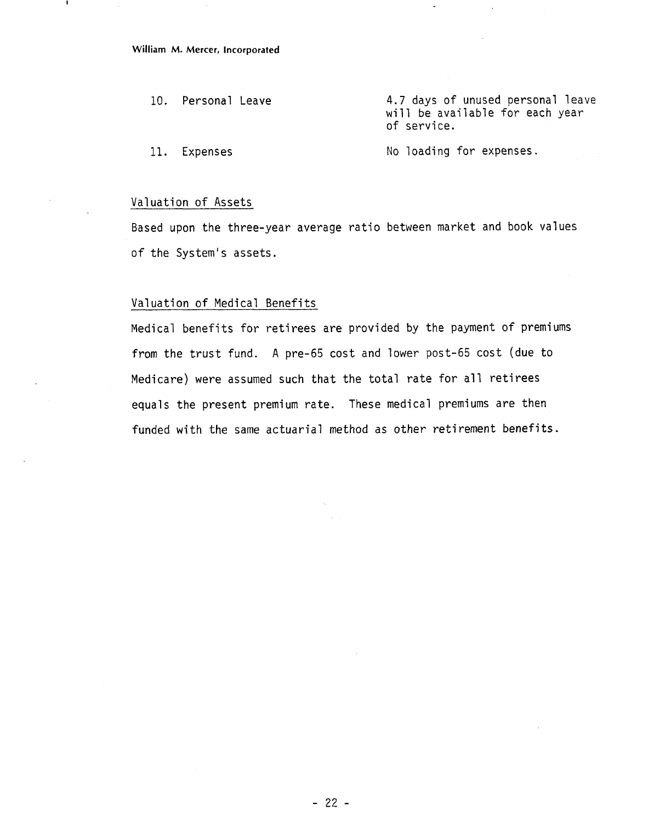**William M. Mercer, Incorporated** 

10. Personal Leave 11. Expenses 4.7 days of unused personal leave will be available for each year of service. No loading for expenses.

### Valuation of Assets

Based upon the three-year average ratio between market and book values of the System's assets.

### Valuation of Medical Benefits

Medical benefits for retirees are provided by the payment of premiums from the trust fund. A pre-65 cost and lower post-65 cost (due to Medicare) were assumed such that the total rate for all retirees equals the present premium rate. These medical premiums are then funded with the same actuarial method as other retirement benefits.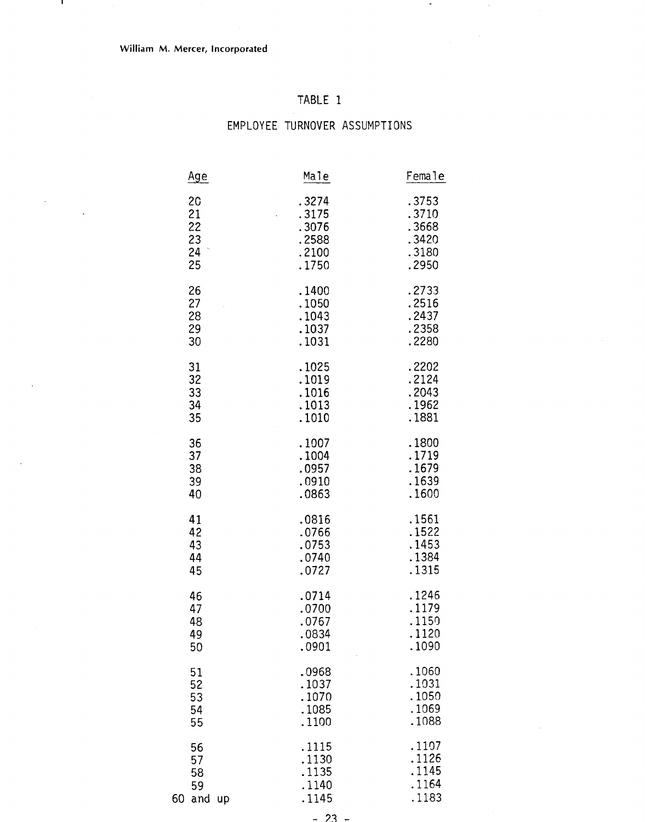$\mathbf{I}$ 

 $\overline{\phantom{a}}$ 

# TABLE 1

 $\blacksquare$ 

| Age                                                            | Male                                               | Female                                             |
|----------------------------------------------------------------|----------------------------------------------------|----------------------------------------------------|
| 20<br>21<br>22<br>23<br>$\hat{\boldsymbol{\beta}}$<br>24<br>25 | .3274<br>.3175<br>.3076<br>.2588<br>.2100<br>.1750 | .3753<br>.3710<br>.3668<br>.3420<br>.3180<br>.2950 |
| 26                                                             | .1400                                              | .2733                                              |
| 27                                                             | .1050                                              | .2516                                              |
| 28                                                             | .1043                                              | .2437                                              |
| 29                                                             | .1037                                              | .2358                                              |
| 30                                                             | .1031                                              | .2280                                              |
| 31                                                             | .1025                                              | .2202                                              |
| 32                                                             | .1019                                              | .2124                                              |
| 33                                                             | .1016                                              | .2043                                              |
| 34                                                             | .1013                                              | .1962                                              |
| 35                                                             | .1010                                              | .1881                                              |
| 36                                                             | .1007                                              | .1800                                              |
| 37                                                             | .1004                                              | .1719                                              |
| 38                                                             | .0957                                              | .1679                                              |
| 39                                                             | .0910                                              | .1639                                              |
| 40                                                             | .0863                                              | .1600                                              |
| 41                                                             | .0816                                              | .1561                                              |
| 42                                                             | .0766                                              | .1522                                              |
| 43                                                             | .0753                                              | .1453                                              |
| 44                                                             | .0740                                              | .1384                                              |
| 45                                                             | .0727                                              | .1315                                              |
| 46                                                             | .0714                                              | .1246                                              |
| 47                                                             | .0700                                              | .1179                                              |
| 48                                                             | .0767                                              | .1150                                              |
| 49                                                             | 0834                                               | .1120                                              |
| 50                                                             | .0901                                              | .1090                                              |
| 51                                                             | .0968                                              | .1060                                              |
| 52                                                             | .1037                                              | .1031                                              |
| 53                                                             | .1070                                              | .1050                                              |
| 54                                                             | .1085                                              | .1069                                              |
| 55                                                             | .1100                                              | .1088                                              |
| 56<br>57<br>58<br>59<br>60<br>and<br><b>up</b>                 | .1115<br>.1130<br>.1135<br>.1140<br>.1145          | .1107<br>.1126<br>.1145<br>.1164<br>.1183          |

# EMPLOYEE TURNOVER ASSUMPTIONS

 $-23 -$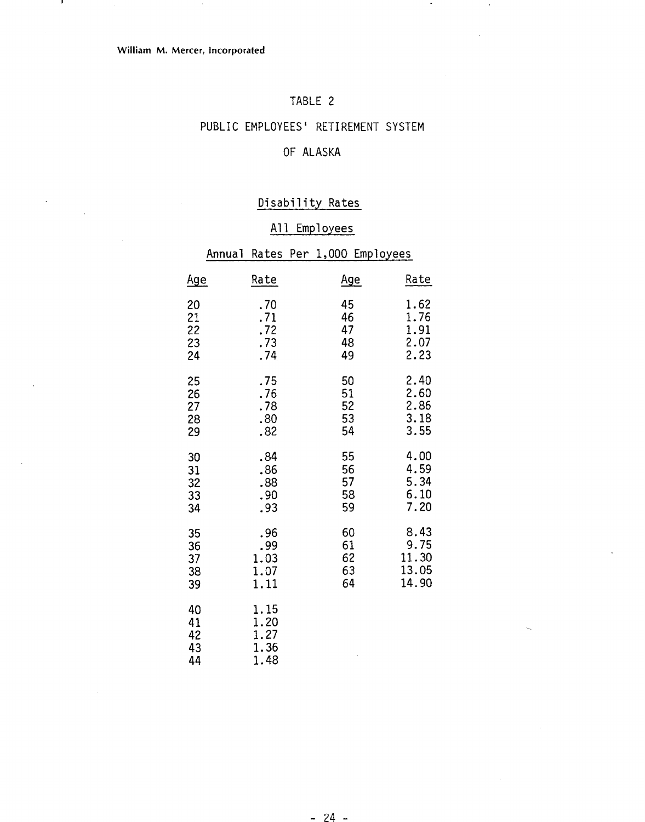л.

### TABLE 2

### PUBLIC EMPLOYEES' RETIREMENT SYSTEM

### OF ALASKA

### Disability Rates

### All Employees

|                            |                                      | Annual Rates Per 1,000 Employees |       |
|----------------------------|--------------------------------------|----------------------------------|-------|
| <u>Age</u>                 | Rate                                 | <u>Age</u>                       | Rate  |
| 20                         | .70                                  | 45                               | 1.62  |
| 21                         | .71                                  | 46                               | 1.76  |
| 22                         | .72                                  | 47                               | 1.91  |
| 23                         | .73                                  | 48                               | 2.07  |
| 24                         | .74                                  | 49                               | 2.23  |
| 25                         | .75                                  | 50                               | 2.40  |
| 26                         | .76                                  | 51                               | 2.60  |
| 27                         | .78                                  | 52                               | 2.86  |
| 28                         | .80                                  | 53                               | 3.18  |
| 29                         | .82                                  | 54                               | 3.55  |
| 30                         | .84                                  | 55                               | 4.00  |
| 31                         | .86                                  | 56                               | 4.59  |
| 32                         | .88                                  | 57                               | 5.34  |
| 33                         | .90                                  | 58                               | 6.10  |
| 34                         | .93                                  | 59                               | 7.20  |
| 35                         | .96                                  | 60                               | 8.43  |
| 36                         | .99                                  | 61                               | 9.75  |
| 37                         | 1.03                                 | 62                               | 11.30 |
| 38                         | 1.07                                 | 63                               | 13.05 |
| 39                         | 1.11                                 | 64                               | 14.90 |
| 40<br>41<br>42<br>43<br>44 | 1.15<br>1.20<br>1.27<br>1.36<br>1.48 |                                  |       |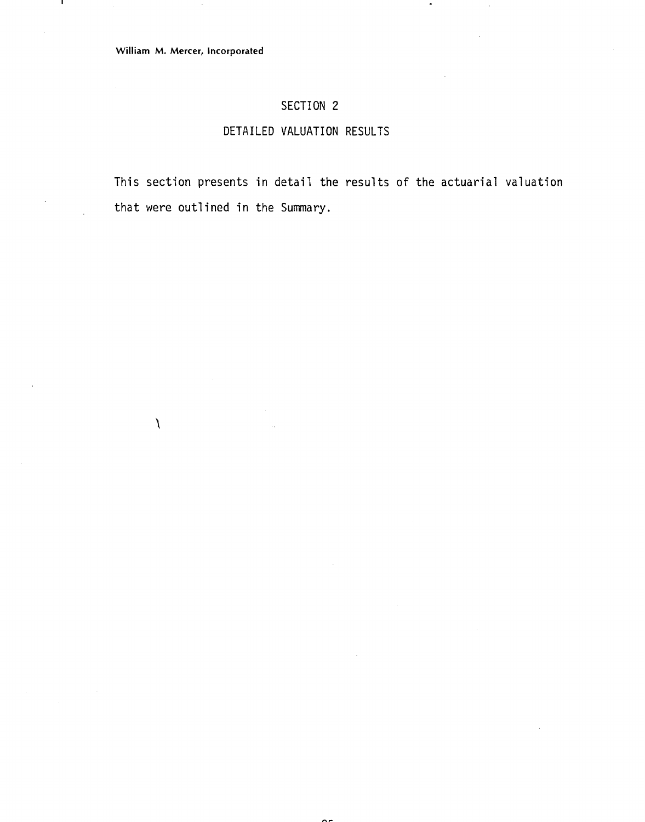$\lambda$ 

ш

### SECTION **2**

### DETAILED VALUATION RESULTS

This section presents in detail the results of the actuarial valuation that were outlined in the Summary.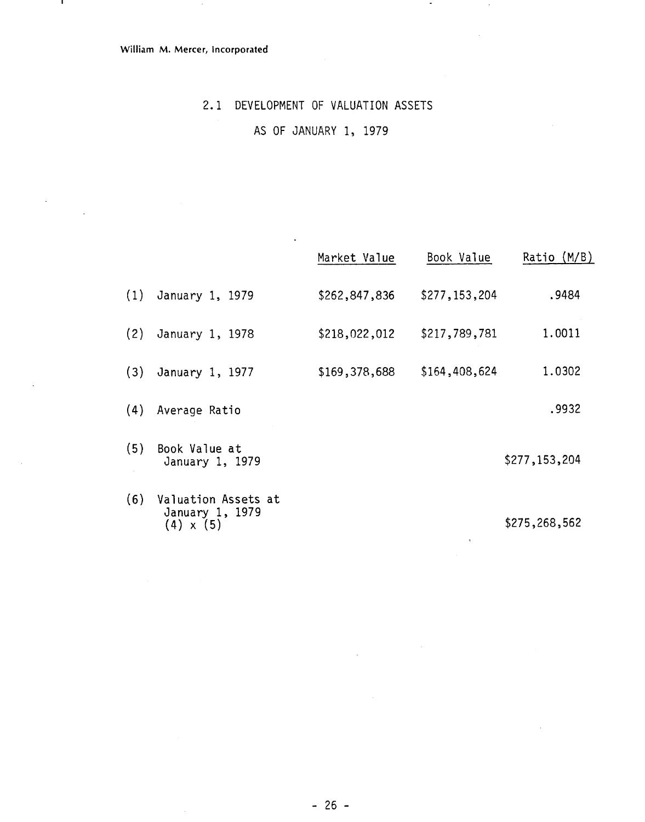- 11

### 2.1 DEVELOPMENT OF VALUATION ASSETS

 $\bullet$ 

 $\bar{.}$ 

AS OF JANUARY 1, 1979

 $\ddot{\phantom{0}}$ 

|     |                                                            | Market Value  | Book Value    | (M/B)<br>Ratio |
|-----|------------------------------------------------------------|---------------|---------------|----------------|
| (1) | January 1, 1979                                            | \$262,847,836 | \$277,153,204 | .9484          |
| (2) | January 1, 1978                                            | \$218,022,012 | \$217,789,781 | 1.0011         |
| (3) | January 1, 1977                                            | \$169,378,688 | \$164,408,624 | 1.0302         |
|     | (4) Average Ratio                                          |               |               | .9932          |
| (5) | Book Value at<br>January 1, 1979                           |               |               | \$277,153,204  |
| (6) | Valuation Assets at<br>January 1, 1979<br>$(4) \times (5)$ |               |               | \$275,268,562  |

 $\mathcal{L}$ 

 $\hat{\mathcal{A}}$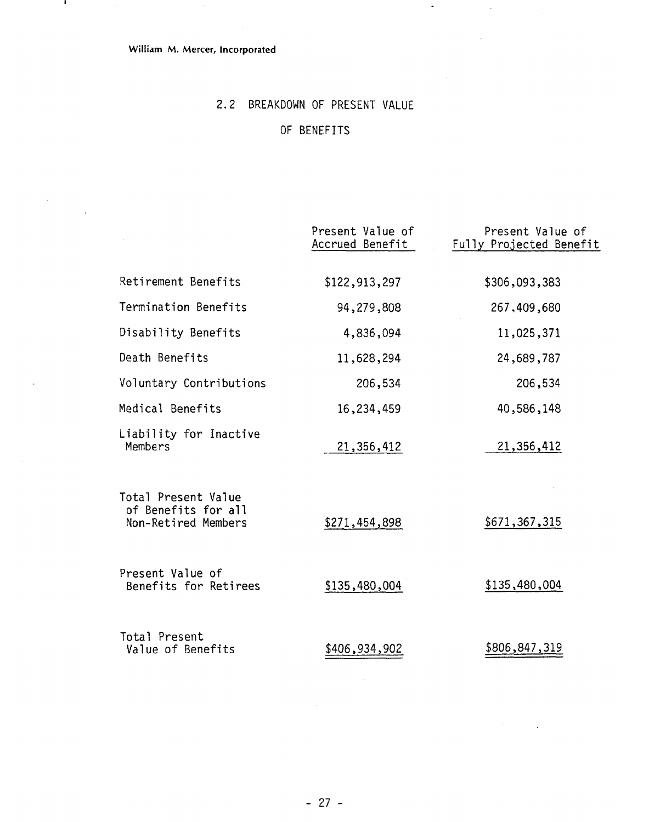### **William M. Mercer, Incorporated**

- 11

 $\sim$ 

 $\cdot$ 

# 2.2 BREAKDOWN OF PRESENT VALUE

 $\ddot{\phantom{a}}$ 

# OF BENEFITS

|                                                                   | Present Value of<br>Accrued Benefit | Present Value of<br>Fully Projected Benefit |
|-------------------------------------------------------------------|-------------------------------------|---------------------------------------------|
| Retirement Benefits                                               | \$122,913,297                       | \$306,093,383                               |
| Termination Benefits                                              | 94,279,808                          | 267,409,680                                 |
| Disability Benefits                                               | 4,836,094                           | 11,025,371                                  |
| Death Benefits                                                    | 11,628,294                          | 24,689,787                                  |
| Voluntary Contributions                                           | 206,534                             | 206,534                                     |
| Medical Benefits                                                  | 16,234,459                          | 40,586,148                                  |
| Liability for Inactive<br>Members                                 | 21,356,412                          | 21,356,412                                  |
| Total Present Value<br>of Benefits for all<br>Non-Retired Members | \$271,454,898                       | \$671,367,315                               |
| Present Value of<br>Benefits for Retirees                         | \$135,480,004                       | \$135,480,004                               |
| Total Present<br>Value of Benefits                                | \$406,934,902                       | \$806,847,319                               |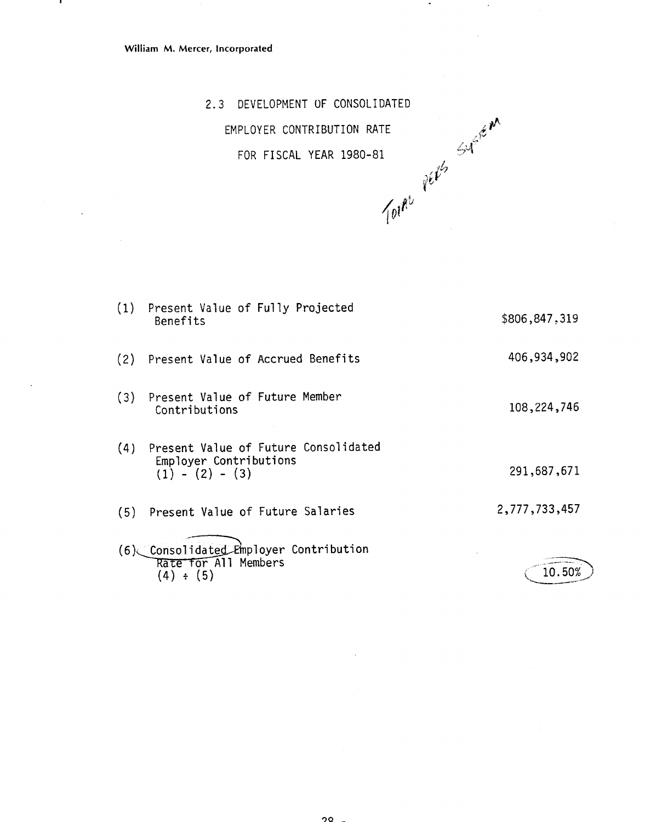.

2.3 DEVELOPMENT OF CONSOLIDATED EMPLOYER CONTRIBUTION RATE بمبرست بن جمعه بن جمعه بن جمعه بن جمعه بن جمعه بن جمعه بن جمعه بن جمعه بن جمعه بن جمعه بن جمعه بن المرض بن الم<br>تأسيس بن جمعه بن المرض بن المرض بن المرض بن المرض بن المرض بن المرض بن المرض بن المرض بن المرض بن المرض بن الم



| (1) | Present Value of Fully Projected<br>Benefits                                        | \$806,847.319 |
|-----|-------------------------------------------------------------------------------------|---------------|
| (2) | Present Value of Accrued Benefits                                                   | 406,934,902   |
| (3) | Present Value of Future Member<br>Contributions                                     | 108, 224, 746 |
| (4) | Present Value of Future Consolidated<br>Employer Contributions<br>$(1) - (2) - (3)$ | 291,687,671   |
| (5) | Present Value of Future Salaries                                                    | 2,777,733,457 |
|     | (6) Consolidated Employer Contribution                                              |               |
|     | Rate for All Members<br>$(4) \div (5)$                                              | 10.50%        |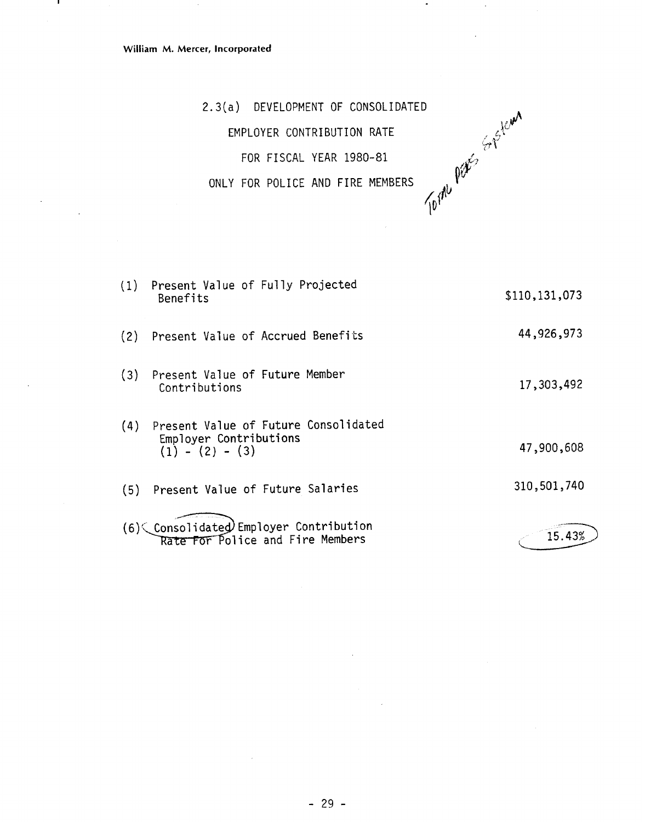- 1

2.3(a) DEVELOPMENT OF CONSOLIDATED EMPLOYER CONTRIBUTION RATE<br>FOR FISCAL YEAR 1980-81<br>Y FOR POLICE AND FIRE MENT

FOR FISCAL YEAR 1980-81

ONLY FOR POLICE AND FIRE MEMBERS

(1) Present Value of Fully Projected \$110,131,073 Benefits 44,926,973 (2) Present Value of Accrued Benefits (3) Present Value of Future Member 17,303,492 **Contributions** (4) Present Value of Future Consolidated Empl oyer Contributions 47,900,608  $(1) - (2) - (3)$ 310,501,740 (5) Present Value of Future Salaries (6)< Consolidated Employer Contribution 15.43% Rate For Police and Fire Members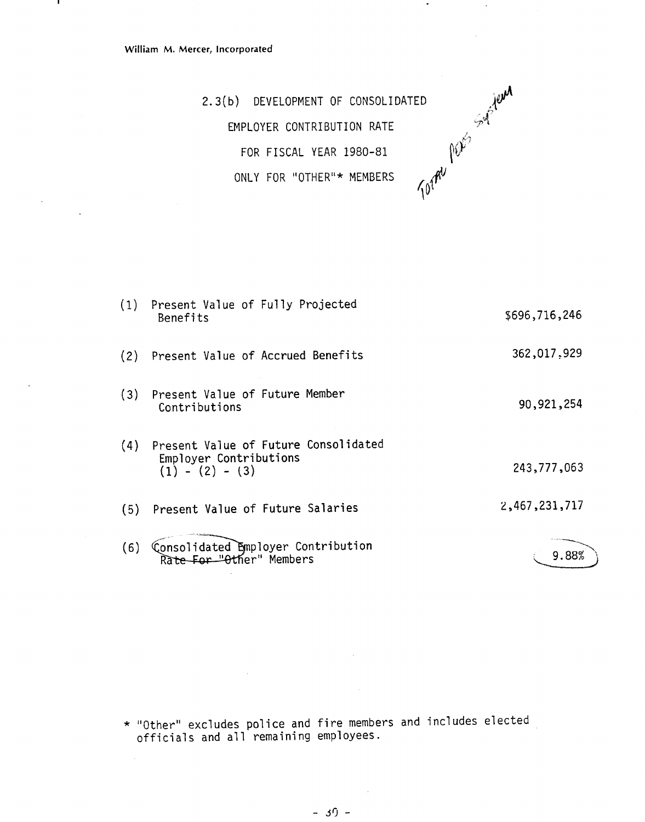- 1

2.3(b) DEVELOPMENT OF CONSOLIDATED EMPLOYER CONTRIBUTION RATE FOR FISCAL YEAR 1980-81 ONLY FOR "OTHER"\* MEMBERS



 $\bullet$ 

| (1) | Present Value of Fully Projected<br>Benefits                                        | \$696,716,246 |
|-----|-------------------------------------------------------------------------------------|---------------|
| (2) | Present Value of Accrued Benefits                                                   | 362,017,929   |
| (3) | Present Value of Future Member<br>Contributions                                     | 90,921,254    |
| (4) | Present Value of Future Consolidated<br>Employer Contributions<br>$(1) - (2) - (3)$ | 243,777,063   |
|     | (5) Present Value of Future Salaries                                                | 2,467,231,717 |
| (6) | Consolidated Employer Contribution<br>Rate For "Other" Members                      | 9.88%         |

\* "Other" excludes police and fire members and includes elected officials and a11 remaining employees.

 $\mathcal{L}_{\mathrm{in}}$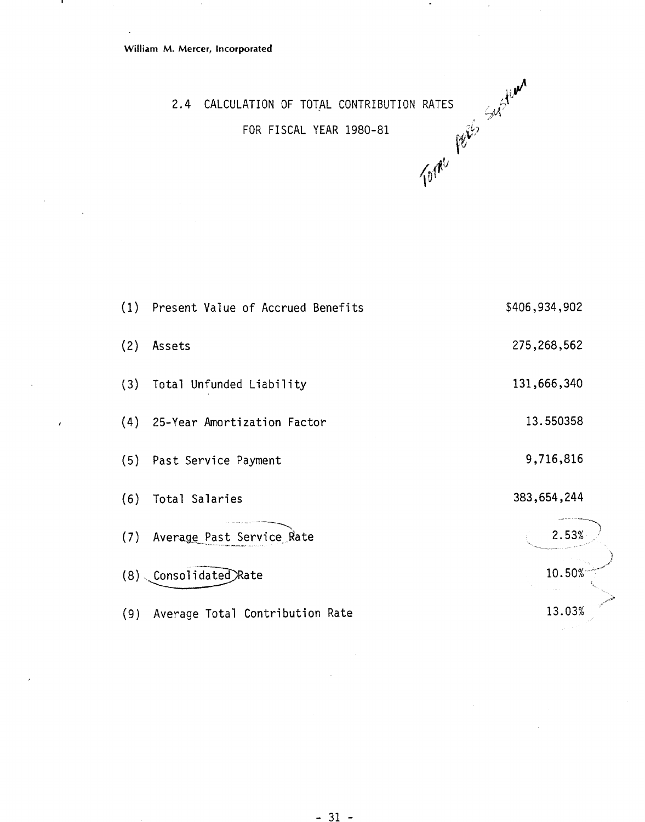$\sim$ 

л.

 $\sim$ 

 $\lambda$ 

 $\ddot{\phantom{0}}$ 

 $\ddot{\phantom{a}}$ 



2.4 CALCULATION OF TOTAL CONTRIBUTION RATES<br>FOR FISCAL YEAR 1980-81 FOR FISCAL YEAR 1980-81

|     | (1) Present Value of Accrued Benefits | \$406,934,902 |
|-----|---------------------------------------|---------------|
| (2) | Assets                                | 275,268,562   |
|     | (3) Total Unfunded Liability          | 131,666,340   |
|     | (4) 25-Year Amortization Factor       | 13.550358     |
|     | (5) Past Service Payment              | 9,716,816     |
| (6) | Total Salaries                        | 383,654,244   |
|     | (7) Average Past Service Rate         | 2.53%         |
| (8) | Consolidated Rate                     | 10.50%        |
| (9) | Average Total Contribution Rate       | 13.03%        |

 $\sim$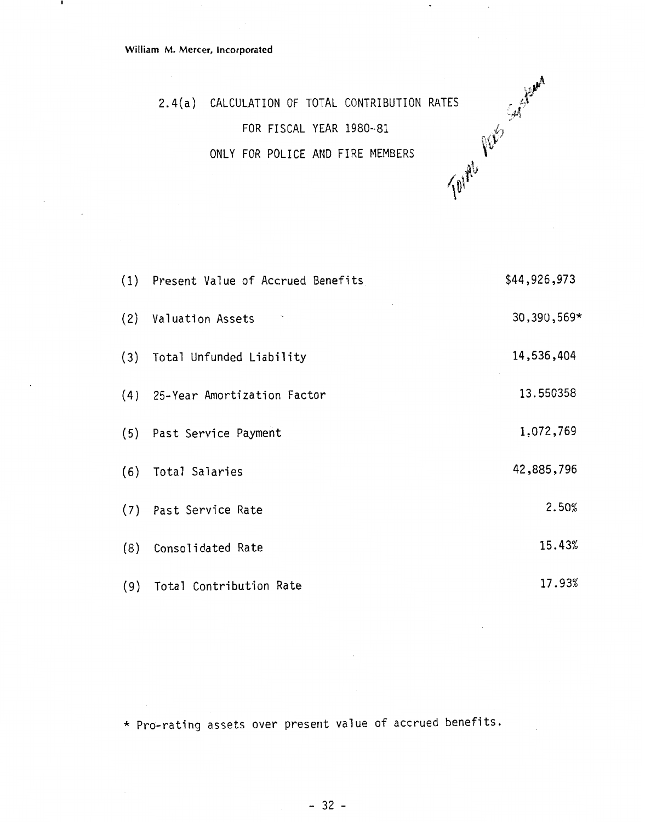-

 $\bullet$ 

2.4(a) CALCULATION OF TOTAL CONTRIBUTION RATES<br>FOR FISCAL YEAR 1980-81<br>ONLY FOR POLICE AND FIRE MEMBERS FOR FISCAL YEAR 1980-81 ONLY FOR POLICE AND FIRE MEMBERS

| (1) Present Value of Accrued Benefits | \$44,926,973 |
|---------------------------------------|--------------|
| (2) Valuation Assets                  | 30,390,569*  |
| (3) Total Unfunded Liability          | 14,536,404   |
| (4) 25-Year Amortization Factor       | 13.550358    |
| (5) Past Service Payment              | 1,072,769    |
| (6) Total Salaries                    | 42,885,796   |
| (7) Past Service Rate                 | 2.50%        |
| (8) Consolidated Rate                 | 15.43%       |
| (9) Total Contribution Rate           | 17.93%       |

\* Pro-rating assets over present value of accrued benefits.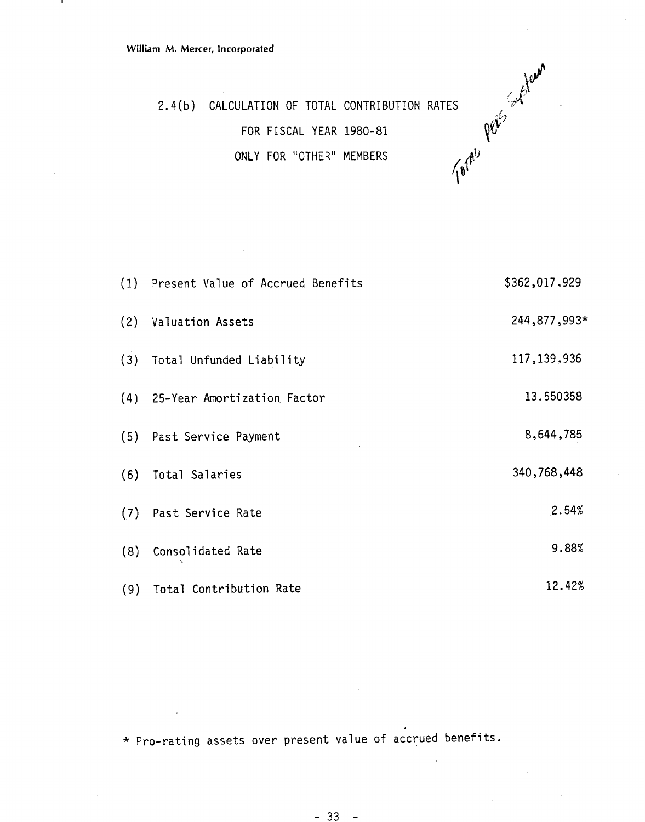.



 $-$  IOTAL CONTRIBUTION RATES<br>FOR FISCAL YEAR 1980-81 plants of the plants of the contribution of the plants of the plants of the plants of the plants of the plants of the plants of the plants of the plants of the plants o 2.4(b) CALCULATION OF TOTAL CONTRIBUTION RATES ONLY FOR "OTHER" MEMBERS

|     | (1) Present Value of Accrued Benefits | \$362,017,929 |
|-----|---------------------------------------|---------------|
|     | (2) Valuation Assets                  | 244,877,993*  |
|     | (3) Total Unfunded Liability          | 117, 139, 936 |
|     | (4) 25-Year Amortization Factor       | 13.550358     |
|     | (5) Past Service Payment              | 8,644,785     |
| (6) | Total Salaries                        | 340,768,448   |
|     | (7) Past Service Rate                 | 2.54%         |
| (8) | Consolidated Rate                     | 9.88%         |
| (9) | Total Contribution Rate               | 12.42%        |

\* Pro-rating assets over present value of accrued benefits.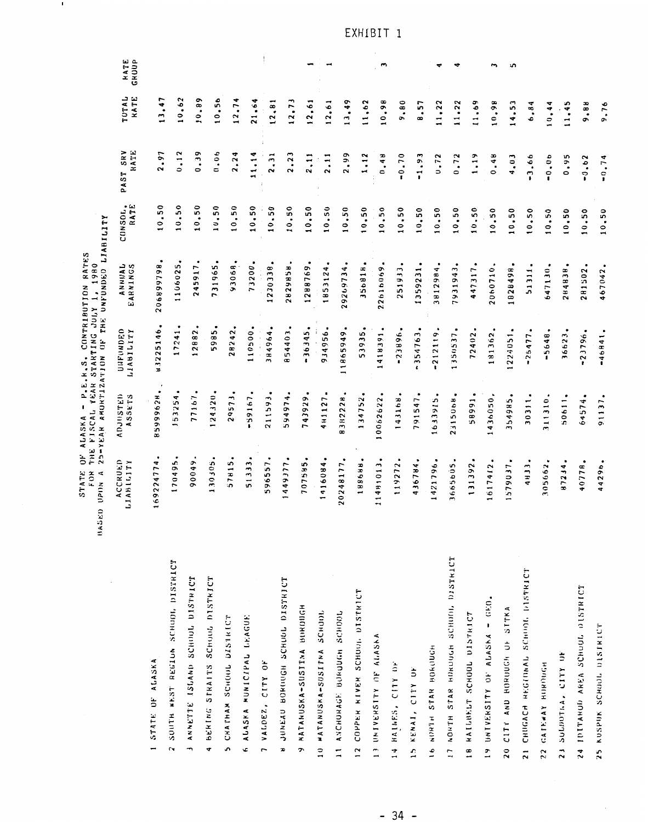|                                                   | ś<br><b>STATE</b><br>FOR<br>$\triangleleft$<br>UPIN<br>Ξ<br><b>BAS</b> | THE FISCAL YEAR STARTING JULY 1, 1980<br>$\blacksquare$<br>ALASKA | $P - E - H - S$              | 25-YEAR AMORTIZATION OF THE UNFUNDED LIABILITY<br>RATES<br>CONTRIBUTION |                 |                  |               |               |
|---------------------------------------------------|------------------------------------------------------------------------|-------------------------------------------------------------------|------------------------------|-------------------------------------------------------------------------|-----------------|------------------|---------------|---------------|
|                                                   | ACCRUED<br>LIABILITY                                                   | ADJUSTED<br>ASSETS                                                | OUFUNDED<br><b>ALITIERTT</b> | <b>ANNUAL</b><br>EARNINGS                                               | CONSOL.<br>RATE | PAST SRV<br>RATE | TUTAL<br>KATE | RATE<br>GRUUP |
| STATE OF ALASKA                                   | ٠<br>4<br>16922477                                                     | 599962H<br>$\infty$                                               | ٠<br>83225146                | ٠<br>206899798                                                          | 10.50           | 2.97             | 13,47         |               |
| SOUTH WEST REGION SCHOOL DISTRICT<br>$\sim$       | ٠<br>170495                                                            | 53254                                                             | 17241                        | ٠<br>1106025                                                            | 10,50           | 0.12             | 10.62         |               |
| ANNETTE ISLAND SCHOOL DISTRICT                    | 90049                                                                  | 77167                                                             | 12882                        | 245917                                                                  | 10.50           | 0.39             | 10.89         |               |
| BERING STRAITS SCHOOL DISTRICT                    | 130305                                                                 | 24320                                                             | 5985                         | 731965                                                                  | 10,50           | 0.06             | 10.56         |               |
| CHATHAM SCHOUL DISTRICT<br>s,                     | 57815                                                                  | 29573                                                             | 28242                        | 93068                                                                   | 10, 50          | 2.24             | 12.74         |               |
| 6 ALASKA MUNICIPAL LEAGUE                         | 51333                                                                  | 59167                                                             | 110500                       | ٠<br>73200                                                              | 10,50           | 11.14            | 21,64         |               |
| VALDEZ, CITY OF<br>$\overline{1}$                 | $\bullet$<br>596557                                                    | 211593.                                                           | 84964<br>$\overline{ }$      | 230338                                                                  | 0.50            | 2.31             | 12, 81        |               |
| JUNEAU BOROUGH SCHUOL DISTRICT<br>x               | ٠<br>1449377                                                           | ٠<br>594974                                                       | 854403                       | 5829858                                                                 | 10,50           | 2.23             | 12, 73        |               |
| MATANUSKA-SUSITNA BUROUGH                         | ٠<br>707585                                                            | ٠<br>743929                                                       | $-36345$                     | ٠<br>1288769                                                            | 10,50           | 2, 11            | 12,61         |               |
| WATANUSKA-SUSITNA SCHOOL<br>$\frac{1}{2}$         | 1416084                                                                | ٠<br>481127                                                       | 934956                       | 1853124                                                                 | 10.50           | 2.11             | 12.61         |               |
| ANCHORAGE BORDUGH SCHOOL<br>$\overline{1}$        | 20248177                                                               | 8382228                                                           | ٠<br>11865949                | 29269734                                                                | 0.50            | 2.99             | 13,49         |               |
| 12 COPPER KIVER SCHOOL DISTRICT                   | ٠<br>188688                                                            | 134752                                                            | 53935                        | 356818                                                                  | 0.50            | 1,12             | 11,62         |               |
| 13 UNIVERSITY OF ALASKA                           | 11481013                                                               | 0062622<br>-                                                      | ٠<br>418391                  | 22616069                                                                | 0.50            | 0.48             | 10,98         | S             |
| 14 HAINES, CITY OF                                | 119272                                                                 | 143168                                                            | ٠<br>$-23896$                | ٠<br>251933                                                             | 10,50           | $-0.70$          | 9.80          |               |
| 15 KENAI, CITY OF                                 | 4<br>43678                                                             | 791547                                                            | 354763                       | 1359231                                                                 | 10,50           | $-1.93$          | 8.57          |               |
| 16 NORTH STAR BOROUGH                             | 1421796                                                                | 633915                                                            | 212119                       | ٠<br>÷<br>381298                                                        | 0.50            | 0.72             | 11,22         |               |
| 17 NORTH STAR HOROUGH SCHOOL DISTRICT             | 3665605                                                                | 23150 <sub>b</sub> H.                                             | 1350537                      | 7931943                                                                 | 10,50           | 0.72             | 11,22         |               |
| 18 HAILBELT SCHOOL DISTRICT                       | ٠<br>131392                                                            | 58991                                                             | ٠<br>72402                   | 447317                                                                  | 10.50           | 1,19             | 11.69         |               |
| 19 UNIVERSITY OF ALASKA - GEO.                    | 617412                                                                 | $\bullet$<br>436050                                               | 181362                       | 2060710                                                                 | 10.50           | 0.48             | 10,98         | $\mathbf{r}$  |
| 20 CITY AND HOROUGH OF STTKA                      | 579037                                                                 | 354985                                                            | ٠<br>224051                  | 1828498                                                                 | 10.50           | 4.03             | 14, 53        | د             |
| CHUGACH REGIONAL SCHOOL DISTRICT<br>$\frac{1}{2}$ | ٠<br>4H33                                                              | 30311                                                             | 25477                        | 51311                                                                   | 10, 50          | 3.66             | 6.84          |               |
| 22 GATEWAY BURDUGH                                | ٠<br>305662                                                            | 311310.                                                           | ٠<br>$-5648$                 | 647130                                                                  | 10,50           | $-0.06$          | 10.44         |               |
| 23 SULDOTAA, CITY OF                              | 87234.                                                                 | 50611.                                                            | 36623,                       | 284838                                                                  | 10,50           | 0.95             | 11,45         |               |

EXHIBIT 1

9,88 9.76

 $-0.62$  $-0.74$ 

 $10.50$  $10,50$ 

281502. 467042.

 $-23796.$  $-46841,$ 

64574. 91137.

40778. 44296.

24 IDITANUD AREA SCHOOL OISTRICT

25 KUSPUK SCHOOL DISTRICT

 $\blacksquare$ 

 $-34 -$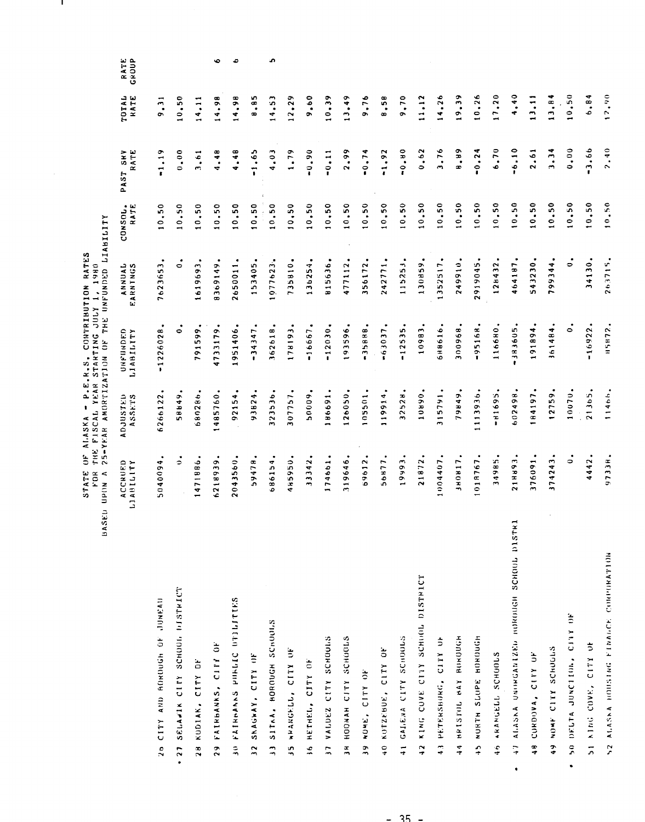STATE OF ALASKA - P.E.R.S. CONTRIBUTION RATES<br>FOR THE FISCAL YEAR STARTING JULY 1, 1980<br>BASED UPON A 25-YEAR AMORTIZATION OF THE UNFUNDED LIABILITY

J.

|            |                                                 | ACCRUED<br>LIABILITY | ADJUSTED<br>ASSETS | UNFUNDED<br>LIABILITY        | ANNUAL<br>EARNINGS     | CONSOL.<br>RATE | PAST SHV<br>RATE | <b>TOTAL</b><br>RATE | RATE<br>GROUP |
|------------|-------------------------------------------------|----------------------|--------------------|------------------------------|------------------------|-----------------|------------------|----------------------|---------------|
|            | 25 CITY AND BOROUGH OF JUNEAU                   | ٠<br>5040094         | ٠<br>6266122       | ٠<br>$-1226028$              | ٠<br>7623653           | 10.50           | $-1.19$          | 9.31                 |               |
| $\cdot$ 27 | SELANIK CITY SCHOOL DISTRICT                    | ٠<br>$\Rightarrow$   | 58849              | ٠<br>0                       | $\bullet$<br>$\bullet$ | 10,50           | 0.000            | 10,50                |               |
|            | 28 KUDIAK, CITY DF                              | 1471886              | 680286             | ٠<br>791599                  | ٠<br>1619693           | 0.50            | 3,61             | 14.11                |               |
|            | 29 FAIRBANKS, CITY OF                           | 6218939              | 1485760            | 4733179                      | 8369149                | 10.50           | 4.48             | 14.98                | Ó             |
|            | 30 FAINBAANS PUBLIC UTILITIES                   | 2043560              | ٠<br>92154         | ٠<br>1951406                 | ٠<br>2650011           | 10,50           | 4.48             | 14.98                | ە             |
|            | AC XLIU 'X4XJ4XS<br>$\ddot{ }$                  | <b>87478</b>         | $\bullet$<br>93824 | ٠<br>$-34347$                | 153405                 | 10.50           | $-1.65$          | 8.85                 |               |
|            | SITAA. HOROUGH SCHOOLS<br>$\ddot{ }$            | 686154               | 323536             | ٠<br>362618                  | 1077623                | 10.50           | 4.03             | 14.53                | ä,            |
|            | WAARGELL, CLINDARY<br>$\frac{5}{2}$             | 485950               | ٠<br>307757        | 178193                       | 735810                 | 10,50           | 1.79             | 12, 29               |               |
|            | 16 HETHEL, CITY OF                              | 33342                | 50009              | $-16667$                     | 136254                 | 10.50           | $-0.90$          | 9.60                 |               |
|            | VALDEZ CITY SCHOOLS<br>$\overline{z}$           | 174661               | 86691              | $-12030$                     | 815636                 | 10.50           | $-0.11$          | 10.39                |               |
|            | 3H HOONAH CITY SCHUCLS                          | 319646               | ٠<br>126050        | ٠<br>193596                  | 477112                 | 10,50           | 2.99             | 13.49                |               |
|            | NONE, CITY OF<br><sub>თ</sub>                   | 69612                | 105501             | ٠<br>$-35888$                | 356172                 | 10.50           | $-0.74$          | 9.76                 |               |
|            | KOTZEBUE, CITY OF<br>$\frac{1}{2}$              | ٠<br>56877           | 119914             | $-63037$                     | 242771                 | 10.50           | $-1.92$          | 8.58                 |               |
|            | 41 GALENA CITY SCHOOLS                          | 19993                | 32528              | $-12535$                     | 115253                 | 10,50           | $-0.80$          | 9,70                 |               |
|            | KING COVE CITY SCHOOL DISTRICT<br>$\frac{1}{4}$ | 21872                | 10890              | 10983                        | ٠<br>130859            | 10.50           | 0.62             | 11,12                |               |
|            | 43 PETERSBORG, CITY OF                          | 1004407              | ٠<br>315791        | 688616                       | ٠<br>1352517           | 10.50           | 3.76             | 14,26                |               |
|            | HODING YAY HILL SHAY PP                         | 380817               | ٠<br>59861         | 300968                       | 249910.                | 10.50           | 8.89             | 19.39                |               |
|            | NORTH SLOPE HOROUGH<br>$\frac{1}{2}$            | ٠<br>1018767         | ٠<br>1113936       | $-95168$                     | ٠<br>2919045           | 10.50           | $-0.24$          | 10,26                |               |
|            | ARANGELL SCHUOLS<br>46                          | 34985                | $-11695$           | 116680                       | ٠<br>128432            | 10.50           | 6.70             | 17.20                |               |
| ٠          | 47 ALASKA UNINGANIZED HUROUGH SCHOUL DISTRI     | 218893               | ٠<br>602498        | $-383605$                    | 464187                 | 10.50           | $-6.10$          | 4,40                 |               |
|            | CURDOVA, CITY OF<br>÷                           | 376091               | ٠<br>184197        | 91894                        | 543230.                | 10.50           | 2.61             | 13,11                |               |
|            | NOWE CITY SCHUGLS<br>$\ddot{\bullet}$           | 374243               | ٠<br>12759         | 361484                       | ٠<br>799344            | 10.50           | 3.34             | 13.84                |               |
| ٠          | 50 DELTA JUNCITIA, CITY OF                      | ٠<br>0               | 10070.             | $\mathbf{\dot{o}}^{\bullet}$ | $\dot{\circ}$          | 10.50           | 0.00, 0          | 10, 50               |               |
|            | KING COVE, CITY OF<br>$\frac{1}{2}$             | 4442                 | $21365$ ,          | $-16922$                     | 34130.                 | 10,50           | $-3.66$          | 6.84                 |               |
|            | S2 ALASKA HOUSTNG FINALCE CONPURATION           | 97338.               | 11466.             | <b>H5H72.</b>                | 263715.                | 10.50           | 2,40             | 12.90                |               |

 $-35 -$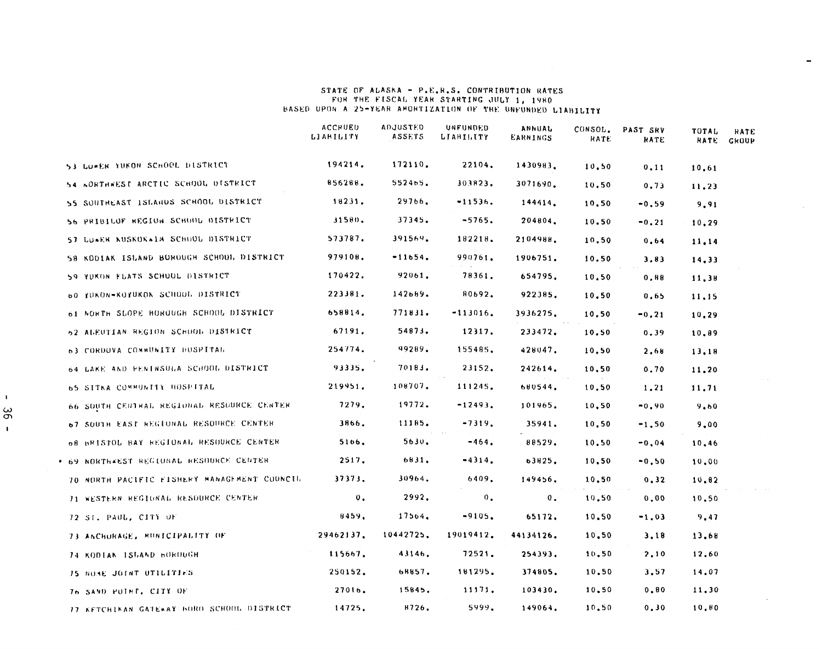# STATE OF ALASKA - P.E.R.S. CONTRIBUTION RATES<br>FOR THE FISCAL YEAR STARTING JULY 1, 1980 BASED UPON A 25-YEAR AMORTIZATION OF THE UNFUNDED LIABILITY

|                                             | <b>ACCRUED</b><br>LIARILITY | <b>ADJUSTED</b><br>ASSETS | UNFUNDED<br>LIABILITY | ANNUAL<br>EARNINGS | CONSOL.<br><b>RATE</b> | PAST SRV<br>RATE | TOTAL<br>RATE | <b>HATE</b><br>GROUP |
|---------------------------------------------|-----------------------------|---------------------------|-----------------------|--------------------|------------------------|------------------|---------------|----------------------|
| 53 LOWER TUKON SCHOOL DISTRICT              | 194214.                     | 172110.                   | 22104.                | 1430983.           | 10,50                  | 0,11             | 10,61         |                      |
| 54 AORTHWEST ARCTIC SCHOOL DISTRICT         | 856288.                     | 552465.                   | 303823.               | 3071690.           | 10, 50                 | 0, 73            | 11,23         |                      |
| 55 SOUTHEAST ISLANDS SCHOOL DISTRICT        | 18231.                      | 29766.                    | $-11536.$             | 144414.            | 10.50                  | $-0.59$          | 9,91          |                      |
| 56 PRIBILOF REGION SCHOOL DISTRICT          | 31580.                      | 37345.                    | $-5765.$              | 204804.            | 10.50                  | $-0.21$          | 10,29         |                      |
| SJ LUWER KUSKOKWIA SCHOOL DISTRICT          | 573787.                     | 391569.                   | 182218.               | 2104988.           | 10,50                  | 0.64             | 11,14         |                      |
| 58 KODIAK ISLAND BOROUGH SCHOOL DISTRICT    | 979108.                     | $-11654.$                 | 990761.               | 1906751.           | 10.50                  | 3,83             | 14,33         |                      |
| 59 YUKON FLATS SCHUUL DISTRICT              | 170422.                     | 92061.                    | 78361.                | 654795.            | 10, 50                 | 0.88             | 11,38         |                      |
| 60 YUKON-KOYUKON SCHOOL DISTRICT            | 223381.                     | 142689.                   | 80692.                | 922385.            | 10,50                  | 0.65             | 11,15         |                      |
| 61 NORTH SLOPE BOROUGH SCHOOL DISTRICT      | 658814.                     | 771831.                   | $-113016.$            | 3936275.           | 10, 50                 | $-0, 21$         | 10,29         |                      |
| 52 ALEUTIAN REGION SCHUOL DISTRICT          | 67191.                      | 54873.                    | 12317.                | 233472.            | 10.50                  | 0, 39            | 10,89         |                      |
| 63 CORDOVA COMMUNITY HOSPITAL               | 254774.                     | 99289.                    | 155485.               | 428047.            | 10,50                  | 2.68             | 13,18         |                      |
| 64 LAKE AND PENINSULA SCHOOL DISTRICT       | 93335.                      | 70183.                    | 23152.                | 242614.            | 10,50                  | 0.70             | 11.20         |                      |
| 65 SITKA COMMUNITY HOSPITAL                 | 219951.                     | 108707.                   | 111245.               | 680544.            | 10,50                  | 1.21             | 11.71         |                      |
| 66 SOUTH CENTRAL REGIONAL RESOURCE CENTER   | 7279.                       | 19772.                    | $-12493.$             | 101965.            | 10, 50                 | $-0.90$          | 9.60          |                      |
| 67 SOUTH EAST REGIONAL RESOURCE CENTER.     | 3866.                       | 11185.                    | $-7319.$              | 35941.             | 10, 50                 | $-1,50$          | 9,00          |                      |
| 08 BRISTOL BAY REGIONAL RESOURCE CENTER     | 5106.                       | 5630.                     | $-464.$               | 88529.             | 10.50                  | $-0.04$          | 10.46         |                      |
| * 69 NORTH&EST REGIONAL RESOURCE CENTER     | 2517.                       | 6831.                     | -4314.                | 63825.             | 10, 50                 | $-0.50$          | 10,00         |                      |
| 70 NORTH PACIFIC FISHERY MANAGEMENT COUNCIL | 37373.                      | 30964.                    | 6409.                 | 149456,            | 10,50                  | 0.32             | 10.82         |                      |
| 71 WESTERN REGIONAL RESOURCE CENTER         | $\mathbf{0}$ .              | 2992,                     | $\mathbf{0}$ .        | 0.                 | 10, 50                 | 0.00             | 10.50         |                      |
| 72 ST. PAUL, CITY OF                        | 8459.                       | 17564.                    | $-9105.$              | 65172.             | 10,50                  | $-1.03$          | 9,47          |                      |
| 73 ANCHORAGE, MUNICIPALITY OF               | 29462137.                   | 10442725.                 | 19019412.             | 44134126.          | 10.50                  | 3,18             | 13.68         |                      |
| 74 KODTAN ISLAND BOROUGH                    | 115667.                     | 43146.                    | 72521.                | 254393.            | 10.50                  | 2,10             | 12,60         |                      |
| 75 NOME JOINT UTILITIES                     | 250152.                     | 68857.                    | 181295.               | 374805.            | 10, 50                 | 3,57             | 14,07         |                      |
| 76 SAND PUINT, CITY OF                      | 27016.                      | 15845.                    | 11171.                | 103430.            | 10, 50                 | 0.80             | 11,30         |                      |
| 77 KETCHIKAN GATEWAY BORD SCHOOL DISTRICT   | 14725.                      | 8726.                     | 5999.                 | 149064.            | 10.50                  | 0.30             | 10.80         |                      |

 $\sim$  k  $^{\prime}$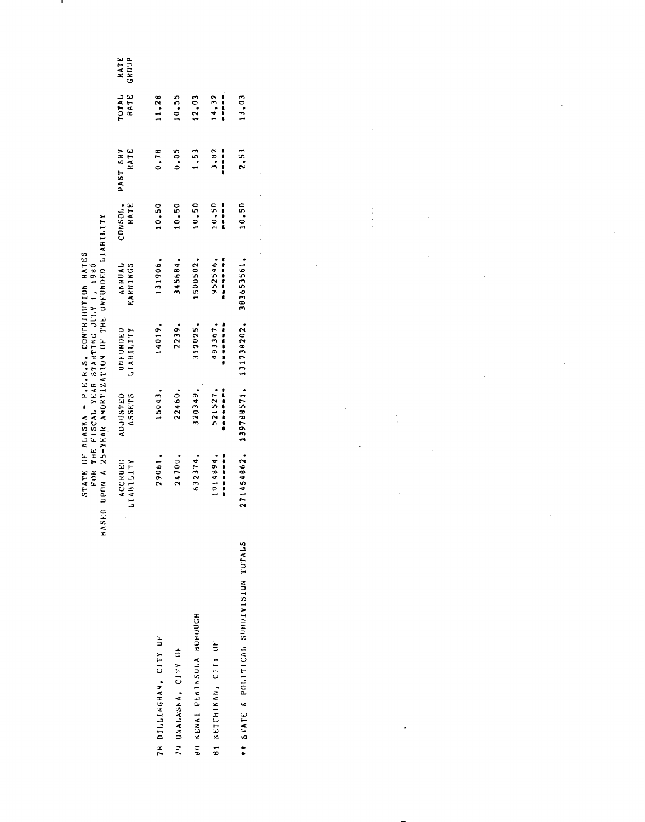RATE<br>ROUP

STATE OF ALASKA - P.E.R.S. CONTRIBUTION RATES<br>FOR THE FISCAL YEAR STARTING JULY 1, 1980

ш

|                                         | NASED UPIN A 25-YEAR ANDRIIZATION UF THE UNFUNCED LIABILITI |                                  |                       |                            |                 |                  |                          |                          |
|-----------------------------------------|-------------------------------------------------------------|----------------------------------|-----------------------|----------------------------|-----------------|------------------|--------------------------|--------------------------|
|                                         | ACCRUED<br><b>LIABILITY</b>                                 | <b>ADJUSTED</b><br><b>ASSETS</b> | UNFUNDED<br>LIABILITY | <b>ANNHUAL</b><br>EARNINGS | CONSOL.<br>RATE | RATE<br>PAST SHV | TOTAL<br>RATE            | $\approx$<br>$\tilde{5}$ |
| TH DILLINGHAM, CITY UF                  | 290 <sub>b1</sub> .                                         | 15043.                           | 14019.                | 131906.                    | 10.50           | 0.78             | 11.28                    |                          |
| to xxio sexatered on                    | 24700.                                                      | 22460.                           | 2239.                 | 345684.                    | 10.50           | 0.05             | 10, 55                   |                          |
| <b>80 KENAI PENTNSULA BUNUUCH</b>       | 632374.                                                     | 320349.                          | 312025.               | 1500502.                   | 10.50           | 1,53             | 12,03                    |                          |
| <b>BI KETCHIKAN, CITY UF</b>            | ,,,,,,,,,,<br>1014894.                                      | ,,,,,,,,,<br>521527.             | 493367.               | ,,,,,,,,,,,<br>952546.     | 10.50<br>,,,,,  | 3.82<br>,,,,,    | 14.32<br> <br> <br> <br> |                          |
| ** STATE & POLITICAL SUBDIVISION TOTALS | 271454862.                                                  | 139788571.                       | 131738202.            | 383653561.                 | 10.50           | 2.53             | 13.03                    |                          |
|                                         |                                                             |                                  |                       |                            |                 |                  |                          |                          |

 $\overline{a}$ 

 $\ddot{\phantom{a}}$ 

 $\frac{1}{2}$ 

 $\ddot{\phantom{0}}$ 

 $\ddot{\phantom{0}}$ 

 $\ddot{\phantom{0}}$ 

 $\ddot{\phantom{0}}$ 

 $\ddot{\phantom{a}}$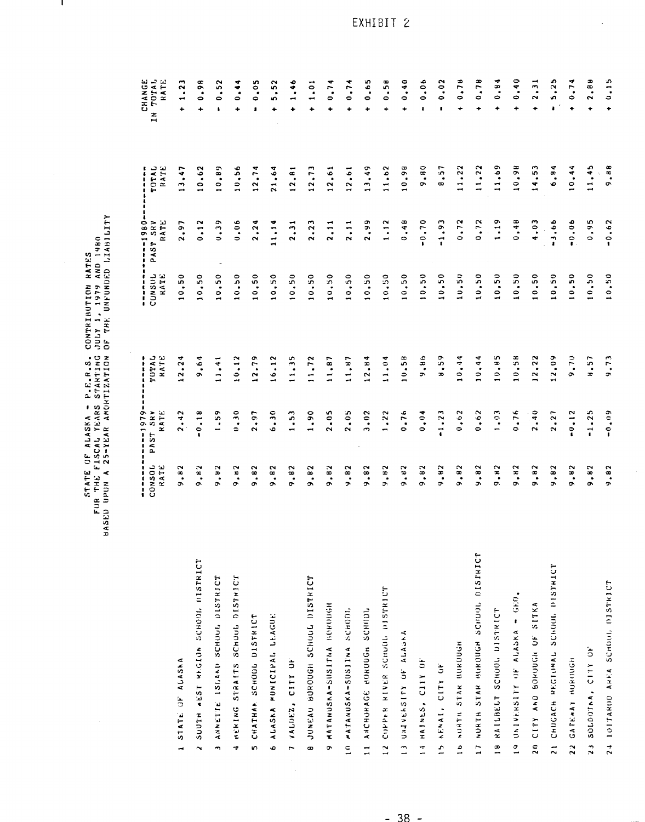STATE OF ALASKA - P.E.R.S. CONTRIBUTION RATES<br>FUR THE FISCAL YEARS STARTING JULY 1, 1979 AND 1980<br>BASED UPON A 25-YEAR AMORTIZATION OF THE UNFUNDED LIABILITY

л,

|                                                    | ł<br>CONSOL<br>$\frac{1}{2}$<br>RATE<br>ŧ | ٠<br>$----1979$<br><b>SRV</b><br><b>HATE</b><br>PAST<br>٠ | TUTAL<br>RATE<br>,,,,,      | CONSUL<br>$\begin{array}{c} 1 \\ 1 \\ 2 \\ 3 \\ 4 \\ 1 \end{array}$<br>RATE | $-0.861 - -$<br>ST SRV<br>RATE<br>تج<br>م<br>٠ | TOTAL<br>$\ddot{\dot{\textbf{r}}}$<br>RATE | TOTAL<br>CHANGE<br>HATE<br>$\mathbf{H}$ |
|----------------------------------------------------|-------------------------------------------|-----------------------------------------------------------|-----------------------------|-----------------------------------------------------------------------------|------------------------------------------------|--------------------------------------------|-----------------------------------------|
| STATE OF ALASKA                                    | .82<br>Ğ,                                 | 2.42                                                      | ᢦ<br>ં<br>$\frac{2}{1}$     | 0.50                                                                        | .97<br>$\sim$                                  | 3.47                                       | m<br>1.2<br>۰                           |
| SOUTH AEST REGION SCHOOL DISTRICT<br>$\ddot{\sim}$ | $\ddot{\tilde{\mathbf{z}}}$<br>۰          | 0.18<br>$\mathbf{I}$                                      | .64<br>Ō,                   | $\mathbf{50}$<br>$\ddot{\circ}$<br>$\blacksquare$                           | 0.12                                           | 10.62                                      | 0.98<br>۰                               |
| ANNETTE ISLAND SCHOOL DISTRICT<br>$\overline{ }$   | .82<br>$\sigma$                           | .59                                                       | 11,41                       | 0.50                                                                        | 0.39                                           | 10.89                                      | 0.52<br>٠                               |
| NERING STRAITS SCHOOL DISTRICT<br>÷                | $\cdot$ 8 $\cdot$<br>ō                    | 0.30                                                      | $\frac{2}{12}$<br>$\bullet$ | 0.50                                                                        | 0.06                                           | 10,56                                      | 0.44<br>۰                               |
| CHATHAR SCHOOL DISTRICT<br>in.                     | .82<br>Ō,                                 | 2.97                                                      | 12.79                       | 0.50                                                                        | 2.24                                           | 12.74                                      | 0.05<br>,                               |
| ALASKA MUNICIPAL LEAGUE<br>o                       | .82<br>o.                                 | 6.30                                                      | 16,12                       | 0.50                                                                        | 11.14                                          | 21.64                                      | 5.52<br>۰                               |
| VALDEZ, CITY OF<br>$\overline{a}$                  | .82<br>ō                                  | 1.53                                                      | 11.35                       | 0.50                                                                        | 2.31                                           | 12.81                                      | 1.46<br>٠                               |
| JUNEAU BUROUGH SCHULL DISTRICT<br>$\bullet$        | .82<br>Ğ,                                 | 1,90                                                      | 11.72                       | 0.50                                                                        | 2.23                                           | 12, 73                                     | 1.01<br>٠                               |
| MATANUSKA-SUSITAA BOROUGH<br>s,                    | .82<br>ö                                  | 2.05                                                      | 11,87                       | 10.50                                                                       | 2, 11                                          | 12,61                                      | 0.74<br>۰                               |
| IO MATANUSKA-SUSITNA SCHOOL                        | .82<br>$\rightarrow$                      | 2.05                                                      | 11, 87                      | 10.50                                                                       | 2.11                                           | 12.61                                      | 0.74<br>$\ddot{}$                       |
| 11 ANCHOROF BORDON SCHIDI                          | .82<br>ò.                                 | 3.02                                                      | 12.84                       | 0.50                                                                        | 2.99                                           | 13.49                                      | 0.65<br>۰                               |
| COPPER RIVER SCHOOL DISTRICT<br>$\frac{1}{2}$      | , 0.2<br>J,                               | 1.22                                                      | 11.04                       | 0.50                                                                        | 1.12                                           | 11.62                                      | 0.58<br>÷                               |
| UNIVERSITY OF ALASKA<br>$\frac{1}{2}$              | .82<br>Ğ,                                 | 0.76                                                      | 10.58                       | 10.50                                                                       | 0.48                                           | œ<br>10.91                                 | 0.40<br>$\ddot{}$                       |
| 14 HAINLS, CJTY OF                                 | .82<br>œ.                                 | 0.04                                                      | 9,86                        | 0.50                                                                        | $-0.70$                                        | 9.80                                       | 0.06<br>$\blacksquare$                  |
| KENAL, CITY OF<br>$\overline{c}$                   | .82<br>÷.                                 | $-1.23$                                                   | 6.59                        | 0.50                                                                        | $-1.93$                                        | 8.57                                       | 0.02<br>$\blacksquare$                  |
| NURTH STAK BURDUGH<br>$\frac{1}{2}$                | .82<br>Ő.                                 | 0,62                                                      | 10,44                       | 10,50                                                                       | 0.72                                           | 11,22                                      | 0.78<br>÷                               |
| 17 NORTH STAR BOROUGH SCHOOL DISTRICT              | .82<br>J.                                 | 0.62                                                      | 0.44                        | 10.50                                                                       | 0.72                                           | 11.22                                      | 0.78<br>$\ddotmark$                     |
| 18 RAILBELT SCHOOL DISTRICT                        | .82<br>õ                                  | 1.03                                                      | 10, 05                      | 10,50                                                                       | 1.19                                           | 11.69                                      | 0.84<br>٠                               |
| 19 UNIVERSITY OF ALASKA - GEO.                     | $\cdot$ H2<br>õ                           | 0.76                                                      | 10,58                       | 0.50                                                                        | .48<br>Õ                                       | 10.98                                      | 0.40<br>÷                               |
| 20 CITY AND BOROUGH OF SITKA                       | .82<br>Ö                                  | 2.40                                                      | $\cdot$ 22<br>$\approx$     | 0.50                                                                        | 4.03                                           | 14,53                                      | $\overline{a}$<br>$\sim$<br>٠           |
| CHUGACH REGIONAL SCHOOL DISTRICT<br>$\frac{1}{2}$  | .82<br>ä,                                 | 2.27                                                      | 12.09                       | 0.50                                                                        | 3.66                                           | ব<br>.<br>ه                                | s,<br>$\frac{2!}{3!}$<br>$\bullet$      |
| GATERAY RORDOG<br>$\overline{2}$                   | .82<br>Ō,                                 | $-0.12$                                                   | 9.70                        | 0.50                                                                        | $-0.06$                                        | ⋖<br>10.44                                 | 0.74<br>$\ddotmark$                     |
| SOLDOTAA, CITY OF<br>$\frac{1}{2}$                 | $\frac{82}{3}$<br>Ō.                      | $-1.25$                                                   | 8.57                        | 0.50                                                                        | 0.95                                           | 11,45                                      | œ<br>$\frac{a}{2}$<br>$\ddot{}$         |
| 24 IDITARDD AREA SCHOOL DISTRICT                   | 9.82                                      | $-0.09$                                                   | 9.73                        | 10.50                                                                       | $-0.62$                                        | 9.88                                       | 0.15<br>۰                               |

 $\ddot{\phantom{a}}$ 

 $-38 -$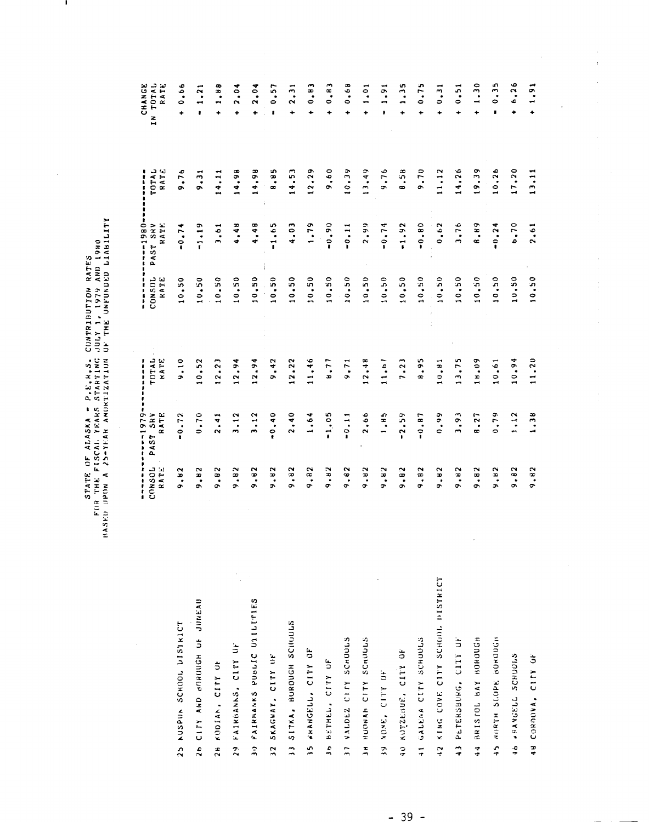STATE OF ADASKA - P.E.45. CONTRIBUTION RATES<br>FOR THE FISCAL YEARS STARTING JULY 1, 1979 AND 1980<br>HASED UPON A 25-YEAR AMORTIZATION OF THE UNFUNDED LIABILITY

 $\overline{\phantom{a}}$ 

J.

|                                   |                 | $-1979$                        | -----         |                |                                     |                                |                                   |
|-----------------------------------|-----------------|--------------------------------|---------------|----------------|-------------------------------------|--------------------------------|-----------------------------------|
|                                   | CONSOL<br>RATE  | SRV<br>RATE<br>AST<br>$\Delta$ | TOTAL<br>KATE | CONSOL<br>KATE | $-280 -$<br>PAST SRV<br><b>HATE</b> | TOTAL<br>RATE<br><b>------</b> | TOTAL<br>CHANGE<br>RATE<br>z<br>H |
| 25 AUSPUA SCHOOL DISTRICT         | .82<br>ò        | 0.72                           | 9.10          | 0.50           | $-0.74$                             | 9.76                           | 0.06<br>٠                         |
| 26 CITY AND BURGUON OF JUNEAU     | .82<br>õ        | 0.70                           | 0.52          | 0.50           | $-1.19$                             | 9.31                           | 1.21<br>$\bullet$                 |
| 28 KODIAN, CITY OF                | .82<br>Ō.       | 2.41                           | 2.23          | 10.50          | 3.61                                | 14.11                          | 1.88<br>٠                         |
| 29 FAIRBANAS, CITY OF             | 9,82            | 3,12                           | 12,94         | 10,50          | 4,48                                | 14.98                          | 2.04<br>÷                         |
| 30 FAIRBANKS PUBLIC UTILITIES     | .82<br>Ō.       | 3.12                           | 12.94         | 10.50          | 4.48                                | 14.98                          | 2.04<br>٠                         |
| 32 SKAGWAY, CITY UP               | 9.82            | $-0.40$                        | 9,42          | 10.50          | $-1.65$                             | 8.85                           | 0.57<br>ŧ                         |
| 33 SITKA, BURDUGH SCHUULIS        | 9.82            | 2.40                           | 12,22         | 10.50          | 4.03                                | 14.53                          | 2.31<br>$\ddot{}$                 |
| 35 WARNGELL, CITY OF              | 9,82            | 1,64                           | 11,46         | 10.50          | 1.79                                | 12,29                          | 0.83<br>۰                         |
| Jo BETHEL, CITY OF                | 9.82            | $-1,05$                        | 1, 77         | 0.50           | $-0.90$                             | 9,60                           | 0.83<br>۰                         |
| 37 VALDEZ CITY SCHOOLS            | .82<br>Ō.       | $-0.11$                        | 9.71          | 10.50          | $-0.11$                             | 10.39                          | 0.68<br>٠                         |
| 3H HUDNAH CITY SCHULLS            | 9.82            | 2,66                           | 12,48         | 10.50          | 2.99                                | 13,49                          | 1.01<br>$\ddot{\phantom{0}}$      |
| 39 NONE . SEOR ON                 | .82<br>Ğ,       | 1.85                           | 11.51         | 10.50          | $-0.74$                             | 9.76                           | 1,91<br>ı.                        |
| 40 KOTZEBUE, CITY OF              | .92<br>Ğ,       | $-2.59$                        | 7.23          | 10,50          | $-1.92$                             | 8.58                           | 1,35<br>$\ddot{}$                 |
| 41 GALENA CITY SUNDULS            | .82<br>o.       | $-0.87$                        | 8.95          | 10,50          | $-0.80$                             | 9.70                           | 0.75<br>٠                         |
| 42 KING COVE CITY SCHOOL DISTRICT | .92<br>ö        | 0.99                           | 10.81         | 10.50          | .62<br>$\bullet$                    | 11,12                          | 0.31<br>۰                         |
| 43 PETERSBURG, CITY OF            | .82<br>Ō,       | 3,93                           | 13.75         | 0.50           | 3.76                                | 14.26                          | 0.51<br>۰                         |
| HORORO YAR JOLSISISH              | .82<br>$\sigma$ | 8.27                           | 80.8          | 0.50           | 8.89                                | 19.39                          | 1.30<br>٠                         |
| 45 NURTH SLOPE BOROUGH            | 59.<br>C,       | 0.79                           | 10.61         | 10.50          | $-0.24$                             | 10.26                          | 0.35<br>ł,                        |
| <b>JO ARANGELL SCHUDILS</b>       | .82<br>ç        | 1.12                           | 10.94         | 10.50          | 6.70                                | 17.20                          | 6.26<br>۰                         |
| 48 CORDOVA, CITY OF               | 9.82            | 1,38                           | 11.20         | 10.50          | 2.61                                | 13,11                          | 1,91<br>٠                         |

 $\frac{1}{4}$ 

 $\frac{1}{2}$ 

 $\frac{1}{2}$ 

 $\begin{array}{c} \frac{1}{2} \\ \frac{1}{2} \end{array}$ 

 $\frac{1}{2}$ 

 $\hat{\mathcal{L}}$ 

 $\ddot{\cdot}$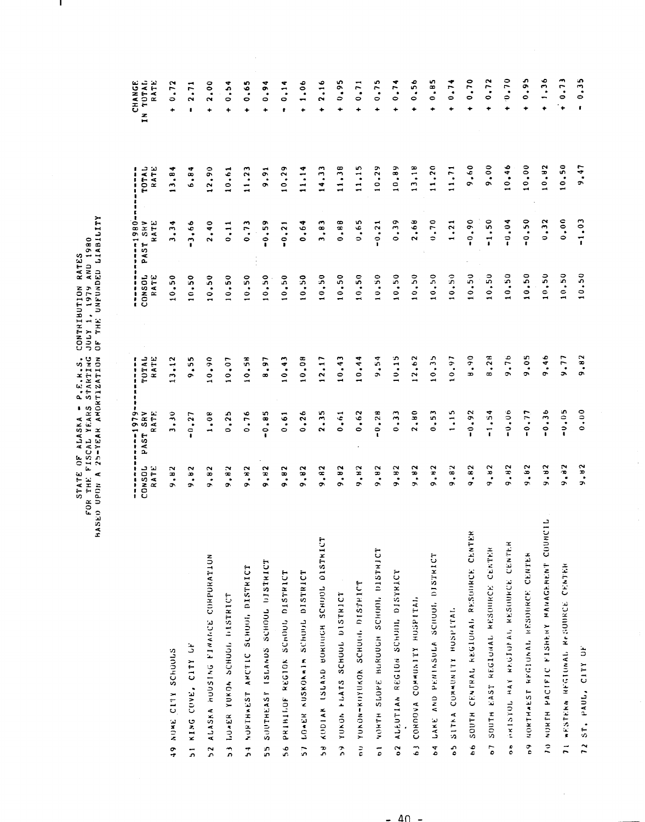STATE OF ALASKA – P.E.K.S. COMTRIBUTION RATES<br>FOR THE FISCAL YEARS STARTING JULY 1, 1979 AND 1980<br>HASEO UPON A 25-YEAR AMORTIZATION OF THE UNFUNDED LIABILITY

 $\mathbf{I}$ 

|                                                                 | ŧ<br>t<br>ı<br>ŧ                              | $-1979$                          | $\ddot{\ddot{\imath}}$         | :<br>٠          | $-1980$                             | ı<br>i                        | <b>CHANGE</b>                                     |
|-----------------------------------------------------------------|-----------------------------------------------|----------------------------------|--------------------------------|-----------------|-------------------------------------|-------------------------------|---------------------------------------------------|
|                                                                 | CONSOL<br>RATE                                | SRV<br>ATE.<br>$\propto$<br>PAST | TUTAL<br>RATE                  | CONSOL<br>RATE  | SKV<br>ATE <sup></sup><br>x<br>PAST | TOTAL<br>RATE                 | RATE<br>TUTAL<br>$\overline{z}$<br>$\blacksquare$ |
| NUME CITY SCHOOLS<br>ዎ<br>ተ                                     | $\mathbf{\tilde{}}$<br>æ.<br>٥                | $\ddot{ }$<br>m                  | $\frac{2}{11}$<br>$\mathbf{r}$ | $\ddot{5}$<br>0 | ۰<br>٩<br>m                         | ∢<br>$\ddot{3}$ , $\ddot{8}$  | 0.72<br>۰                                         |
| KING COVE, CITY OF<br>5                                         | $\scriptstyle{\sim}$<br>œ,<br>c,              | .27<br>c                         | n<br>$\frac{5}{9}$             | 0.50            | .66<br>$\overline{ }$               | ٠<br>$\ddot{6} \cdot \dot{8}$ | 2.71<br>۰                                         |
| HUUSTNG FINANNCE CORPURATION<br>ALASKA<br>$\overline{2}$        | N<br><b>.</b><br>o.                           | .08                              | 0.90                           | 0.50            | $\ddot{ }$<br>$\mathbf{\tilde{c}}$  | 2,90                          | 2.00<br>۰                                         |
| LOWER YOKON SCHOOL HISTRICT<br>$\frac{1}{2}$                    | $\scriptstyle{\sim}$<br>œ.<br>G.              | .25<br>$\bullet$                 | 0.07                           | 0.50            | 0.11                                | 0.61                          | 0.54<br>٠                                         |
| NORTHWEST ANCTIC SCHOOL DISTRICT<br>$\frac{1}{2}$               | 9.82                                          | 0.76                             | 10,58                          | 0.50            | 0.73                                | 11,23                         | 0.65<br>÷                                         |
| SOUTHEASY ISLANDS SCHOOL DISTRICT<br>5Ś                         | .82<br>õ                                      | 0.85<br>ł                        | 8.97                           | 0.50            | 0.59                                | 9.91                          | 0.94<br>۰                                         |
| PRININGE REGION SCHOOL DISTRICT<br>56                           | 9.82                                          | 0.61                             | 10.43                          | 10.50           | $-0.21$                             | 10, 29                        | 0.14<br>ŧ                                         |
| LOWER KUSKOKWIM SCHOUL DISTRICT<br>$\frac{1}{2}$                | .82<br>ō                                      | 0.26                             | 10.08                          | 10,50           | 0.64                                | 11.14                         | 1.06<br>۰                                         |
| KUDIAK ISLAND BURDUGH SCHOOL DISTRICT<br>ີ<br>ລ                 | .82<br>Ō.                                     | 2.35                             | 12,17                          | 10,50           | 3,83                                | 14.33                         | 2.16<br>٠                                         |
| YUKON FLATS SCHOOL DISTRICT<br>$\tilde{\mathbf{c}}$             | 58 <sup>°</sup><br>Ō.                         | 0,61                             | 10.43                          | 10.50           | 0.88                                | 11.38                         | 0,95<br>۰                                         |
| YUNDN-KUYUKOK SCHOOL DISTRICT<br>$\frac{1}{\sigma}$             | $\frac{8}{10}$<br>Ō.                          | 0.62                             | 10.44                          | 10.50           | 0.65                                | 11,15                         | 0.71<br>÷                                         |
| NORTH SLOPE BURDUGH SCHOOL DISTRICT<br>$\frac{1}{\rho}$         | .92<br>Ö                                      | 0.28<br>$\mathbf{r}$             | 9.54                           | 10.50           | $-0.21$                             | 10.29                         | 0.75<br>÷                                         |
| ALEUTIAN REGION SCHUILL DISTRICT<br>$\tilde{c}$                 | .92<br>Ō.                                     | 0.33                             | 10.15                          | 10.50           | 0.39                                | 10.89                         | 0.74<br>÷                                         |
| CORDOVA COMMUNITY HUSPITAL<br>$\ddot{\phantom{0}}$              | $\tilde{\phantom{a}}$<br>$\ddot{a}$<br>ĉ      | 2.80                             | 2,62                           | 0.50            | 2,68                                | 13,18                         | 0.56<br>۰                                         |
| LAKE AND PENTASULA SCHOOL DISTRICT<br>$\frac{4}{5}$             | $\ddot{\phantom{1}}$<br>Ö                     | 0.53                             | 10,35                          | 0.50            | 0.70                                | 11,20                         | 0.85<br>٠                                         |
| SITKA COMMUNITY HOSPITAL<br>$\frac{1}{6}$                       | .82<br>Ō.                                     | 1.15                             | 10.97                          | 10.50           | 1.21                                | 11, 71                        | 0.74<br>٠                                         |
| CENTRAL REGIONAL RESOURCE CENTER<br>SOUTH<br>$\frac{6}{5}$      | .82<br>o                                      | 0.92                             | $0.6 - 8$                      | 0.50            | $-0.90$                             | 9,60                          | 0.70<br>٠                                         |
| SOUTH EAST REGIONAL RESOURCE CENTER<br>$\overline{\phantom{0}}$ | $\sim$<br>ؚ<br>ᡔ                              | $-1.54$                          | 8.28                           | 0.50            | $-1.50$                             | 9.00                          | 0.72<br>٠                                         |
| 08 NRISTOL BAY REJORAL RESOURCE CENTER                          | N<br>$\ddot{=}$<br>ò                          | $-0.06$                          | 9.76                           | 0.50            | $-0.04$                             | 0.46                          | 0.70<br>۰                                         |
| 69 NORTHAEST REGIUNAL RESOURCE CENTER                           | $\sim$<br>؋<br>o.                             | $-0.77$                          | .05<br>ò                       | 0.50            | $-0.50$                             | 10.00                         | 0.95<br>÷                                         |
| NORTH PACIFIC FISHERY MANAGEMENT COUNCIL<br>$\tilde{z}$         | $\tilde{\phantom{a}}$<br>$\ddot{\cdot}$<br>Ğ, | $-0.36$                          | 9.46                           | 10, 50          | 0.32                                | 0.82                          | 1,36                                              |
| <b>WESTERN REGIONAL RESOURCE CENTER</b><br>$\overline{1}$       | 32<br>Ò.                                      | $-0.05$                          | 9.77                           | 10.50           | 0.000                               | 10.50                         | 0.73<br>$\ddot{}$                                 |
| CITY OF<br>ST. PAUL,<br>$\frac{1}{2}$                           | 9.82                                          | 0.000                            | 9.82                           | 10.50           | $-1.03$                             | 9.47                          | 0.35<br>$\blacksquare$                            |

 $\ddot{\cdot}$ 

 $\frac{1}{2}$ 

 $-40 -$